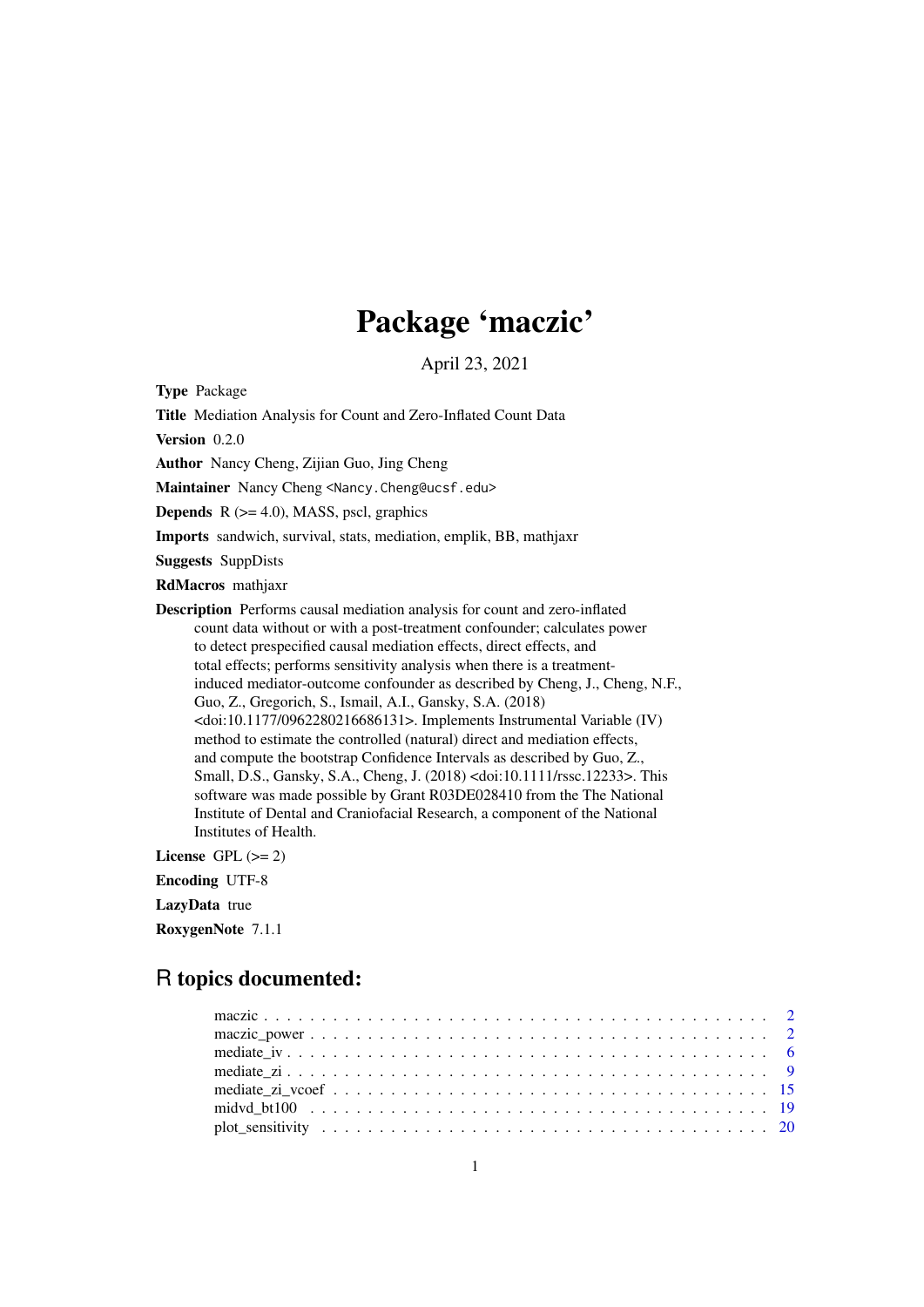# Package 'maczic'

April 23, 2021

<span id="page-0-0"></span>Type Package

Title Mediation Analysis for Count and Zero-Inflated Count Data

Version 0.2.0

Author Nancy Cheng, Zijian Guo, Jing Cheng

Maintainer Nancy Cheng <Nancy.Cheng@ucsf.edu>

**Depends**  $R$  ( $>= 4.0$ ), MASS, pscl, graphics

Imports sandwich, survival, stats, mediation, emplik, BB, mathjaxr

Suggests SuppDists

RdMacros mathjaxr

Description Performs causal mediation analysis for count and zero-inflated count data without or with a post-treatment confounder; calculates power to detect prespecified causal mediation effects, direct effects, and total effects; performs sensitivity analysis when there is a treatmentinduced mediator-outcome confounder as described by Cheng, J., Cheng, N.F., Guo, Z., Gregorich, S., Ismail, A.I., Gansky, S.A. (2018) <doi:10.1177/0962280216686131>. Implements Instrumental Variable (IV) method to estimate the controlled (natural) direct and mediation effects, and compute the bootstrap Confidence Intervals as described by Guo, Z., Small, D.S., Gansky, S.A., Cheng, J. (2018) <doi:10.1111/rssc.12233>. This software was made possible by Grant R03DE028410 from the The National Institute of Dental and Craniofacial Research, a component of the National Institutes of Health.

License GPL  $(>= 2)$ 

Encoding UTF-8

# LazyData true

RoxygenNote 7.1.1

# R topics documented: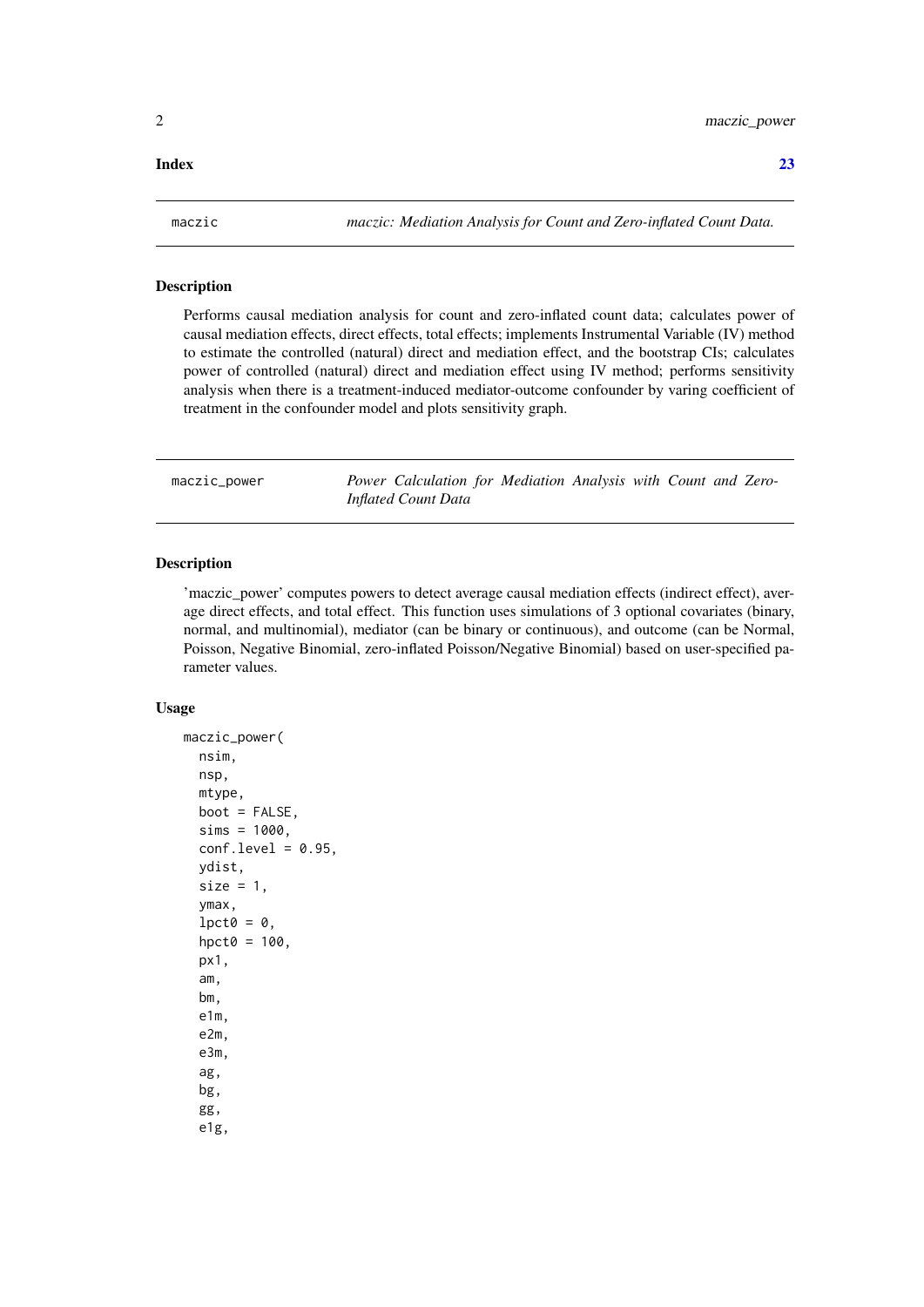#### <span id="page-1-0"></span>**Index** [23](#page-22-0)

maczic *maczic: Mediation Analysis for Count and Zero-inflated Count Data.*

#### Description

Performs causal mediation analysis for count and zero-inflated count data; calculates power of causal mediation effects, direct effects, total effects; implements Instrumental Variable (IV) method to estimate the controlled (natural) direct and mediation effect, and the bootstrap CIs; calculates power of controlled (natural) direct and mediation effect using IV method; performs sensitivity analysis when there is a treatment-induced mediator-outcome confounder by varing coefficient of treatment in the confounder model and plots sensitivity graph.

maczic\_power *Power Calculation for Mediation Analysis with Count and Zero-Inflated Count Data*

#### Description

'maczic\_power' computes powers to detect average causal mediation effects (indirect effect), average direct effects, and total effect. This function uses simulations of 3 optional covariates (binary, normal, and multinomial), mediator (can be binary or continuous), and outcome (can be Normal, Poisson, Negative Binomial, zero-inflated Poisson/Negative Binomial) based on user-specified parameter values.

# Usage

```
maczic_power(
  nsim,
  nsp,
  mtype,
  boot = FALSE,sims = 1000,
  conf. level = 0.95,
  ydist,
  size = 1,
  ymax,
  lpct0 = 0,
  hpct0 = 100,
  px1,
  am,
  bm,
  e1m,
  e2m,
  e3m,
  ag,
  bg,
  gg,
  e1g,
```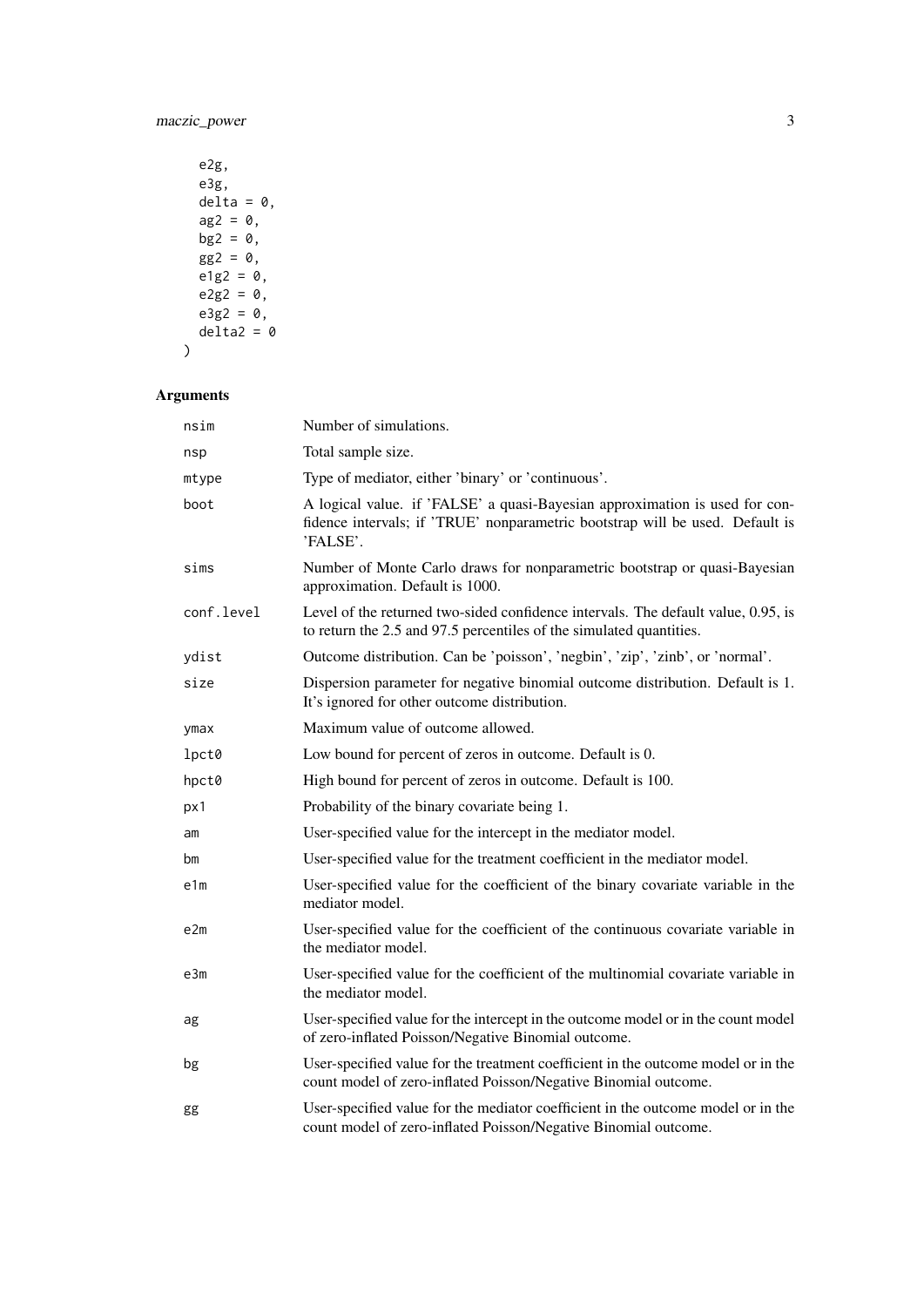| e2g.         |
|--------------|
| e3g.         |
| $delta = 0.$ |
| $ag2 = 0$ ,  |
| $bg2 = 0$    |
| $gg2 = 0$ ,  |
| $e1g2 = 0$ , |
| $e2g2 = 0$ , |
| $e3g2 = 0$ , |
| $delta2 = 0$ |
|              |

| nsim       | Number of simulations.                                                                                                                                                   |
|------------|--------------------------------------------------------------------------------------------------------------------------------------------------------------------------|
| nsp        | Total sample size.                                                                                                                                                       |
| mtype      | Type of mediator, either 'binary' or 'continuous'.                                                                                                                       |
| boot       | A logical value. if 'FALSE' a quasi-Bayesian approximation is used for con-<br>fidence intervals; if 'TRUE' nonparametric bootstrap will be used. Default is<br>'FALSE'. |
| sims       | Number of Monte Carlo draws for nonparametric bootstrap or quasi-Bayesian<br>approximation. Default is 1000.                                                             |
| conf.level | Level of the returned two-sided confidence intervals. The default value, 0.95, is<br>to return the 2.5 and 97.5 percentiles of the simulated quantities.                 |
| ydist      | Outcome distribution. Can be 'poisson', 'negbin', 'zip', 'zinb', or 'normal'.                                                                                            |
| size       | Dispersion parameter for negative binomial outcome distribution. Default is 1.<br>It's ignored for other outcome distribution.                                           |
| ymax       | Maximum value of outcome allowed.                                                                                                                                        |
| lpct0      | Low bound for percent of zeros in outcome. Default is 0.                                                                                                                 |
| hpct0      | High bound for percent of zeros in outcome. Default is 100.                                                                                                              |
| px1        | Probability of the binary covariate being 1.                                                                                                                             |
| am         | User-specified value for the intercept in the mediator model.                                                                                                            |
| bm         | User-specified value for the treatment coefficient in the mediator model.                                                                                                |
| e1m        | User-specified value for the coefficient of the binary covariate variable in the<br>mediator model.                                                                      |
| e2m        | User-specified value for the coefficient of the continuous covariate variable in<br>the mediator model.                                                                  |
| e3m        | User-specified value for the coefficient of the multinomial covariate variable in<br>the mediator model.                                                                 |
| ag         | User-specified value for the intercept in the outcome model or in the count model<br>of zero-inflated Poisson/Negative Binomial outcome.                                 |
| bg         | User-specified value for the treatment coefficient in the outcome model or in the<br>count model of zero-inflated Poisson/Negative Binomial outcome.                     |
| gg         | User-specified value for the mediator coefficient in the outcome model or in the<br>count model of zero-inflated Poisson/Negative Binomial outcome.                      |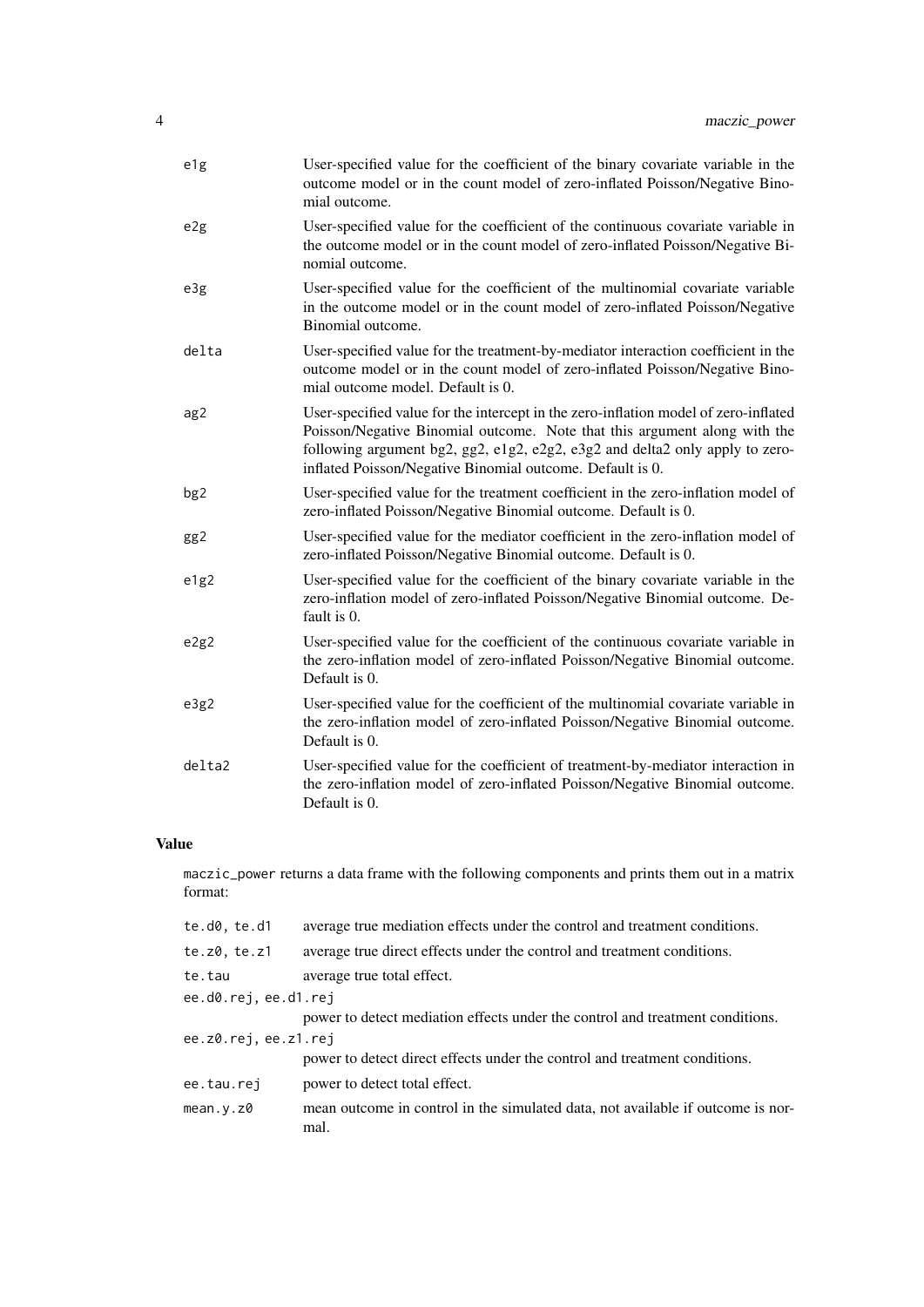| e1g    | User-specified value for the coefficient of the binary covariate variable in the<br>outcome model or in the count model of zero-inflated Poisson/Negative Bino-<br>mial outcome.                                                                                                                              |
|--------|---------------------------------------------------------------------------------------------------------------------------------------------------------------------------------------------------------------------------------------------------------------------------------------------------------------|
| e2g    | User-specified value for the coefficient of the continuous covariate variable in<br>the outcome model or in the count model of zero-inflated Poisson/Negative Bi-<br>nomial outcome.                                                                                                                          |
| e3g    | User-specified value for the coefficient of the multinomial covariate variable<br>in the outcome model or in the count model of zero-inflated Poisson/Negative<br>Binomial outcome.                                                                                                                           |
| delta  | User-specified value for the treatment-by-mediator interaction coefficient in the<br>outcome model or in the count model of zero-inflated Poisson/Negative Bino-<br>mial outcome model. Default is 0.                                                                                                         |
| ag2    | User-specified value for the intercept in the zero-inflation model of zero-inflated<br>Poisson/Negative Binomial outcome. Note that this argument along with the<br>following argument bg2, gg2, e1g2, e2g2, e3g2 and delta2 only apply to zero-<br>inflated Poisson/Negative Binomial outcome. Default is 0. |
| bg2    | User-specified value for the treatment coefficient in the zero-inflation model of<br>zero-inflated Poisson/Negative Binomial outcome. Default is 0.                                                                                                                                                           |
| gg2    | User-specified value for the mediator coefficient in the zero-inflation model of<br>zero-inflated Poisson/Negative Binomial outcome. Default is 0.                                                                                                                                                            |
| e1g2   | User-specified value for the coefficient of the binary covariate variable in the<br>zero-inflation model of zero-inflated Poisson/Negative Binomial outcome. De-<br>fault is 0.                                                                                                                               |
| e2g2   | User-specified value for the coefficient of the continuous covariate variable in<br>the zero-inflation model of zero-inflated Poisson/Negative Binomial outcome.<br>Default is 0.                                                                                                                             |
| e3g2   | User-specified value for the coefficient of the multinomial covariate variable in<br>the zero-inflation model of zero-inflated Poisson/Negative Binomial outcome.<br>Default is 0.                                                                                                                            |
| delta2 | User-specified value for the coefficient of treatment-by-mediator interaction in<br>the zero-inflation model of zero-inflated Poisson/Negative Binomial outcome.<br>Default is 0.                                                                                                                             |

# Value

maczic\_power returns a data frame with the following components and prints them out in a matrix format:

| te.d0, te.d1         | average true mediation effects under the control and treatment conditions.              |
|----------------------|-----------------------------------------------------------------------------------------|
| te.z0, te.z1         | average true direct effects under the control and treatment conditions.                 |
| te.tau               | average true total effect.                                                              |
| ee.d0.rej, ee.d1.rej |                                                                                         |
|                      | power to detect mediation effects under the control and treatment conditions.           |
| ee.z0.rej, ee.z1.rej |                                                                                         |
|                      | power to detect direct effects under the control and treatment conditions.              |
| ee.tau.rej           | power to detect total effect.                                                           |
| mean.v.z0            | mean outcome in control in the simulated data, not available if outcome is nor-<br>mal. |
|                      |                                                                                         |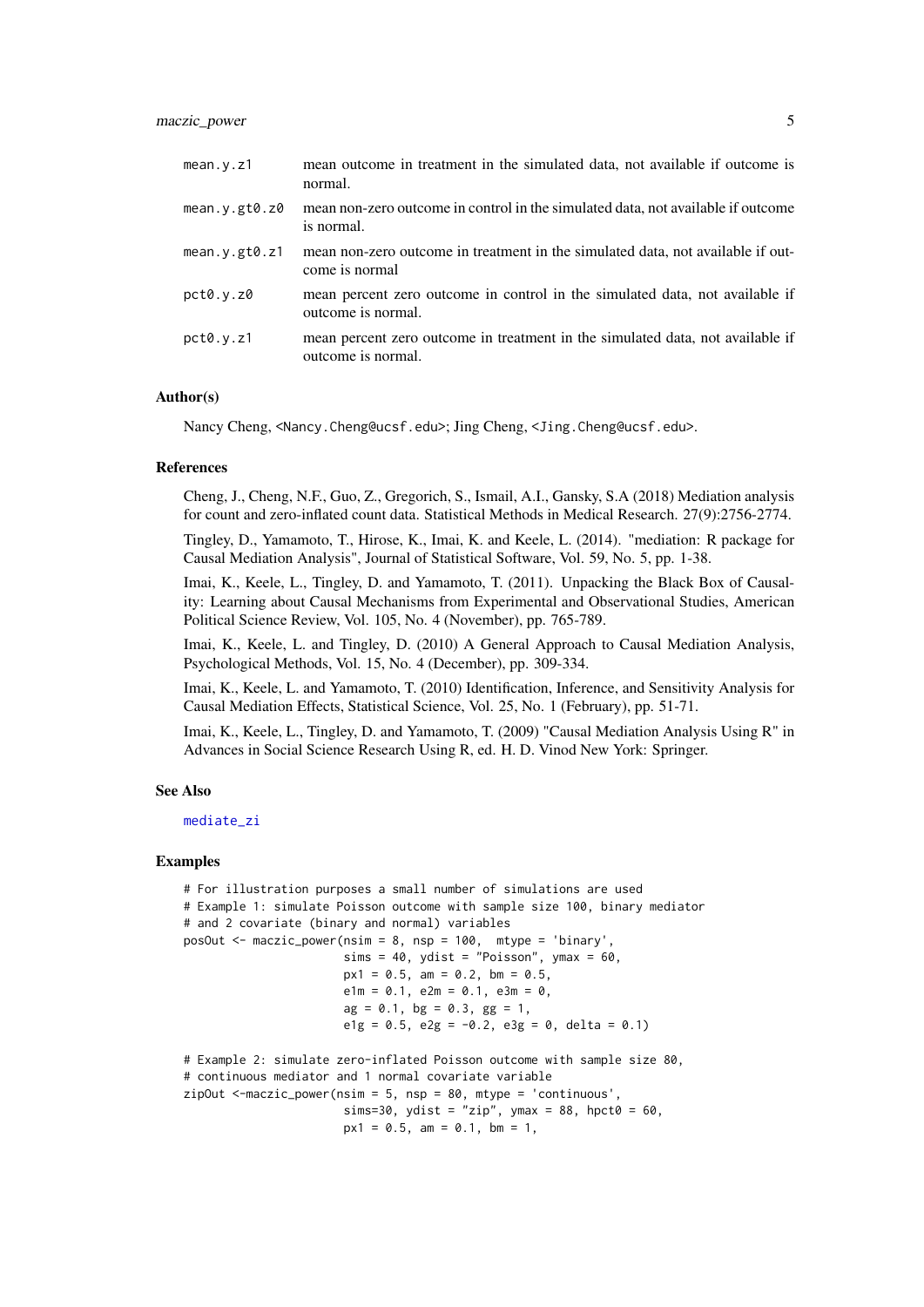<span id="page-4-0"></span>

| mean.v.z1                  | mean outcome in treatment in the simulated data, not available if outcome is<br>normal.              |
|----------------------------|------------------------------------------------------------------------------------------------------|
| mean. $y.get0.z0$          | mean non-zero outcome in control in the simulated data, not available if outcome<br>is normal.       |
| mean. $y$ .gt $\theta$ .z1 | mean non-zero outcome in treatment in the simulated data, not available if out-<br>come is normal    |
| pct0.y.z0                  | mean percent zero outcome in control in the simulated data, not available if<br>outcome is normal.   |
| pct0.y.z1                  | mean percent zero outcome in treatment in the simulated data, not available if<br>outcome is normal. |

# Author(s)

Nancy Cheng, <Nancy.Cheng@ucsf.edu>; Jing Cheng, <Jing.Cheng@ucsf.edu>.

### References

Cheng, J., Cheng, N.F., Guo, Z., Gregorich, S., Ismail, A.I., Gansky, S.A (2018) Mediation analysis for count and zero-inflated count data. Statistical Methods in Medical Research. 27(9):2756-2774.

Tingley, D., Yamamoto, T., Hirose, K., Imai, K. and Keele, L. (2014). "mediation: R package for Causal Mediation Analysis", Journal of Statistical Software, Vol. 59, No. 5, pp. 1-38.

Imai, K., Keele, L., Tingley, D. and Yamamoto, T. (2011). Unpacking the Black Box of Causality: Learning about Causal Mechanisms from Experimental and Observational Studies, American Political Science Review, Vol. 105, No. 4 (November), pp. 765-789.

Imai, K., Keele, L. and Tingley, D. (2010) A General Approach to Causal Mediation Analysis, Psychological Methods, Vol. 15, No. 4 (December), pp. 309-334.

Imai, K., Keele, L. and Yamamoto, T. (2010) Identification, Inference, and Sensitivity Analysis for Causal Mediation Effects, Statistical Science, Vol. 25, No. 1 (February), pp. 51-71.

Imai, K., Keele, L., Tingley, D. and Yamamoto, T. (2009) "Causal Mediation Analysis Using R" in Advances in Social Science Research Using R, ed. H. D. Vinod New York: Springer.

#### See Also

[mediate\\_zi](#page-8-1)

#### Examples

```
# For illustration purposes a small number of simulations are used
# Example 1: simulate Poisson outcome with sample size 100, binary mediator
# and 2 covariate (binary and normal) variables
posOut <- maczic_power(nsim = 8, nsp = 100, mtype = 'binary',
                       sims = 40, ydist = "Poisson", ymax = 60,
                       px1 = 0.5, am = 0.2, bm = 0.5,
                       e1m = 0.1, e2m = 0.1, e3m = 0,
                       ag = 0.1, bg = 0.3, gg = 1,
                       e1g = 0.5, e2g = -0.2, e3g = 0, delta = 0.1)
# Example 2: simulate zero-inflated Poisson outcome with sample size 80,
# continuous mediator and 1 normal covariate variable
zipOut \leq maxic-power(nsim = 5, nsp = 80, mtype = 'continuous',sims=30, ydist = "zip", ymax = 88, hpct0 = 60,
                       px1 = 0.5, am = 0.1, bm = 1,
```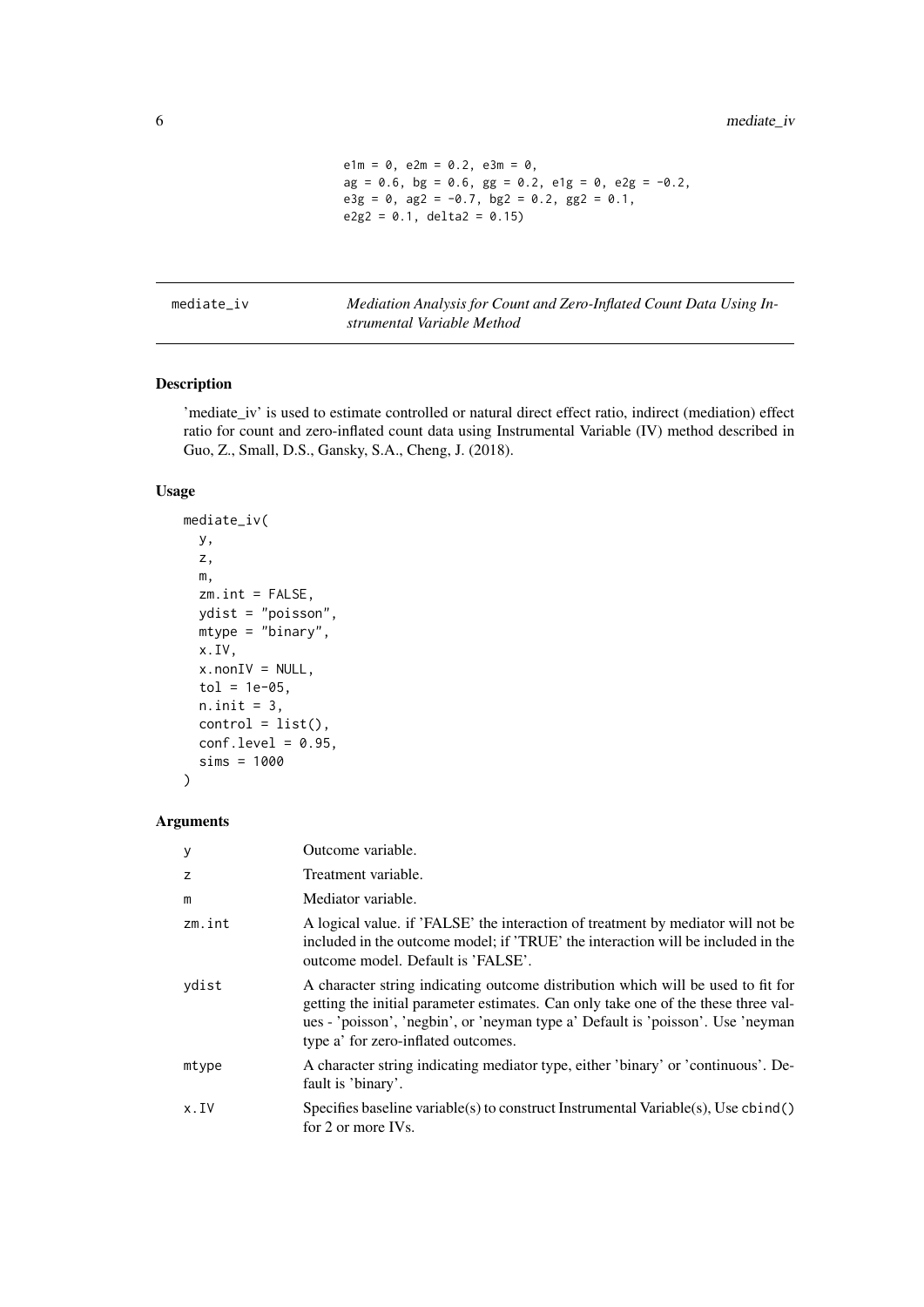```
e1m = 0, e2m = 0.2, e3m = 0,
ag = 0.6, bg = 0.6, gg = 0.2, elg = 0, elg = -0.2,
egg = 0, ag2 = -0.7, bg2 = 0.2, gg2 = 0.1,
e2g2 = 0.1, delta2 = 0.15)
```
<span id="page-5-0"></span>mediate\_iv *Mediation Analysis for Count and Zero-Inflated Count Data Using Instrumental Variable Method*

# Description

'mediate\_iv' is used to estimate controlled or natural direct effect ratio, indirect (mediation) effect ratio for count and zero-inflated count data using Instrumental Variable (IV) method described in Guo, Z., Small, D.S., Gansky, S.A., Cheng, J. (2018).

#### Usage

```
mediate_iv(
  y,
  z,
 m,
  zm.int = FALSE,
  ydist = "poisson",
  mtype = "binary",
  x.IV,
  x.nonIV = NULL,tol = 1e-05,n.init = 3,
  control = list(),conf. level = 0.95,
  sims = 1000
\lambda
```

| У      | Outcome variable.                                                                                                                                                                                                                                                                                |
|--------|--------------------------------------------------------------------------------------------------------------------------------------------------------------------------------------------------------------------------------------------------------------------------------------------------|
| z      | Treatment variable.                                                                                                                                                                                                                                                                              |
| m      | Mediator variable.                                                                                                                                                                                                                                                                               |
| zm.int | A logical value. if 'FALSE' the interaction of treatment by mediator will not be<br>included in the outcome model; if 'TRUE' the interaction will be included in the<br>outcome model. Default is 'FALSE'.                                                                                       |
| ydist  | A character string indicating outcome distribution which will be used to fit for<br>getting the initial parameter estimates. Can only take one of the these three val-<br>ues - 'poisson', 'negbin', or 'neyman type a' Default is 'poisson'. Use 'neyman<br>type a' for zero-inflated outcomes. |
| mtype  | A character string indicating mediator type, either 'binary' or 'continuous'. De-<br>fault is 'binary'.                                                                                                                                                                                          |
| x.IV   | Specifies baseline variable(s) to construct Instrumental Variable(s), Use cbind()<br>for 2 or more IVs.                                                                                                                                                                                          |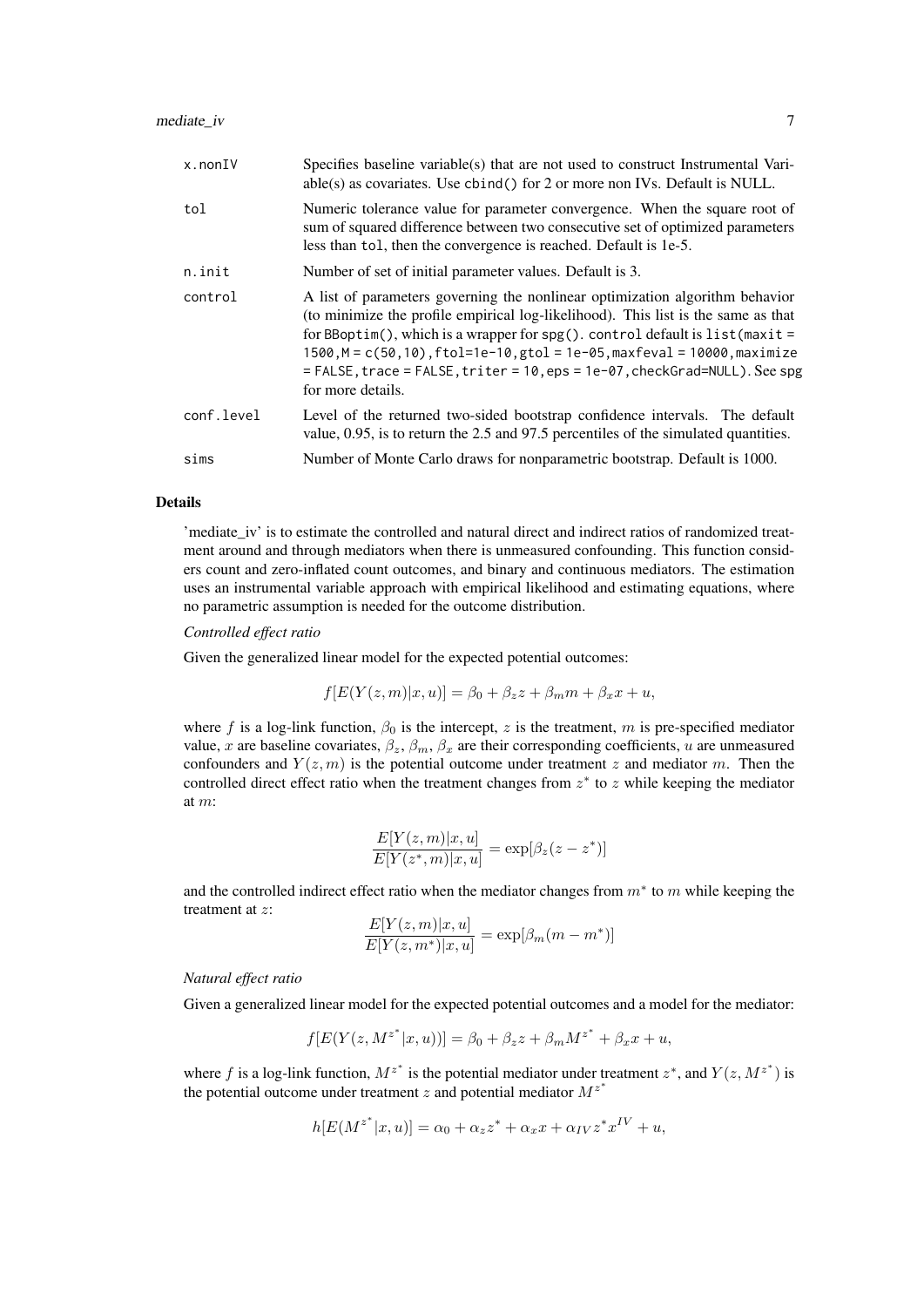| $x.$ non $IV$ | Specifies baseline variable(s) that are not used to construct Instrumental Vari-<br>able(s) as covariates. Use cbind() for 2 or more non IVs. Default is NULL.                                                                                                                                                                                                                                                                               |
|---------------|----------------------------------------------------------------------------------------------------------------------------------------------------------------------------------------------------------------------------------------------------------------------------------------------------------------------------------------------------------------------------------------------------------------------------------------------|
| tol           | Numeric tolerance value for parameter convergence. When the square root of<br>sum of squared difference between two consecutive set of optimized parameters<br>less than tol, then the convergence is reached. Default is 1e-5.                                                                                                                                                                                                              |
| n.init        | Number of set of initial parameter values. Default is 3.                                                                                                                                                                                                                                                                                                                                                                                     |
| control       | A list of parameters governing the nonlinear optimization algorithm behavior<br>(to minimize the profile empirical log-likelihood). This list is the same as that<br>for BBoptim(), which is a wrapper for spg(). control default is $list(maxit =$<br>$1500, M = c(50, 10)$ , $ftol=1e-10$ , $gtol = 1e-05$ , maxfeval = 10000, maximize<br>= FALSE, trace = FALSE, triter = 10, eps = 1e-07, checkGrad=NULL). See spg<br>for more details. |
| conf.level    | Level of the returned two-sided bootstrap confidence intervals. The default<br>value, 0.95, is to return the 2.5 and 97.5 percentiles of the simulated quantities.                                                                                                                                                                                                                                                                           |
| sims          | Number of Monte Carlo draws for nonparametric bootstrap. Default is 1000.                                                                                                                                                                                                                                                                                                                                                                    |

# Details

'mediate\_iv' is to estimate the controlled and natural direct and indirect ratios of randomized treatment around and through mediators when there is unmeasured confounding. This function considers count and zero-inflated count outcomes, and binary and continuous mediators. The estimation uses an instrumental variable approach with empirical likelihood and estimating equations, where no parametric assumption is needed for the outcome distribution.

#### *Controlled effect ratio*

Given the generalized linear model for the expected potential outcomes:

$$
f[E(Y(z,m)|x,u)] = \beta_0 + \beta_z z + \beta_m m + \beta_x x + u,
$$

where f is a log-link function,  $\beta_0$  is the intercept, z is the treatment, m is pre-specified mediator value, x are baseline covariates,  $\beta_z$ ,  $\beta_m$ ,  $\beta_x$  are their corresponding coefficients, u are unmeasured confounders and  $Y(z, m)$  is the potential outcome under treatment z and mediator m. Then the controlled direct effect ratio when the treatment changes from  $z^*$  to  $z$  while keeping the mediator at m:

$$
\frac{E[Y(z,m)|x,u]}{E[Y(z^*,m)|x,u]} = \exp[\beta_z(z-z^*)]
$$

and the controlled indirect effect ratio when the mediator changes from  $m^*$  to  $m$  while keeping the treatment at z:  $E(x, y) = x$ 

$$
\frac{E[Y(z,m)|x,u]}{E[Y(z,m^*)|x,u]} = \exp[\beta_m(m-m^*)]
$$

#### *Natural effect ratio*

Given a generalized linear model for the expected potential outcomes and a model for the mediator:

$$
f[E(Y(z, M^{z^*}|x, u))] = \beta_0 + \beta_z z + \beta_m M^{z^*} + \beta_x x + u,
$$

where f is a log-link function,  $M^{z^*}$  is the potential mediator under treatment  $z^*$ , and  $Y(z, M^{z^*})$  is the potential outcome under treatment z and potential mediator  $M^{z^*}$ 

$$
h[E(M^{z^*}|x,u)] = \alpha_0 + \alpha_z z^* + \alpha_x x + \alpha_{IV} z^* x^{IV} + u,
$$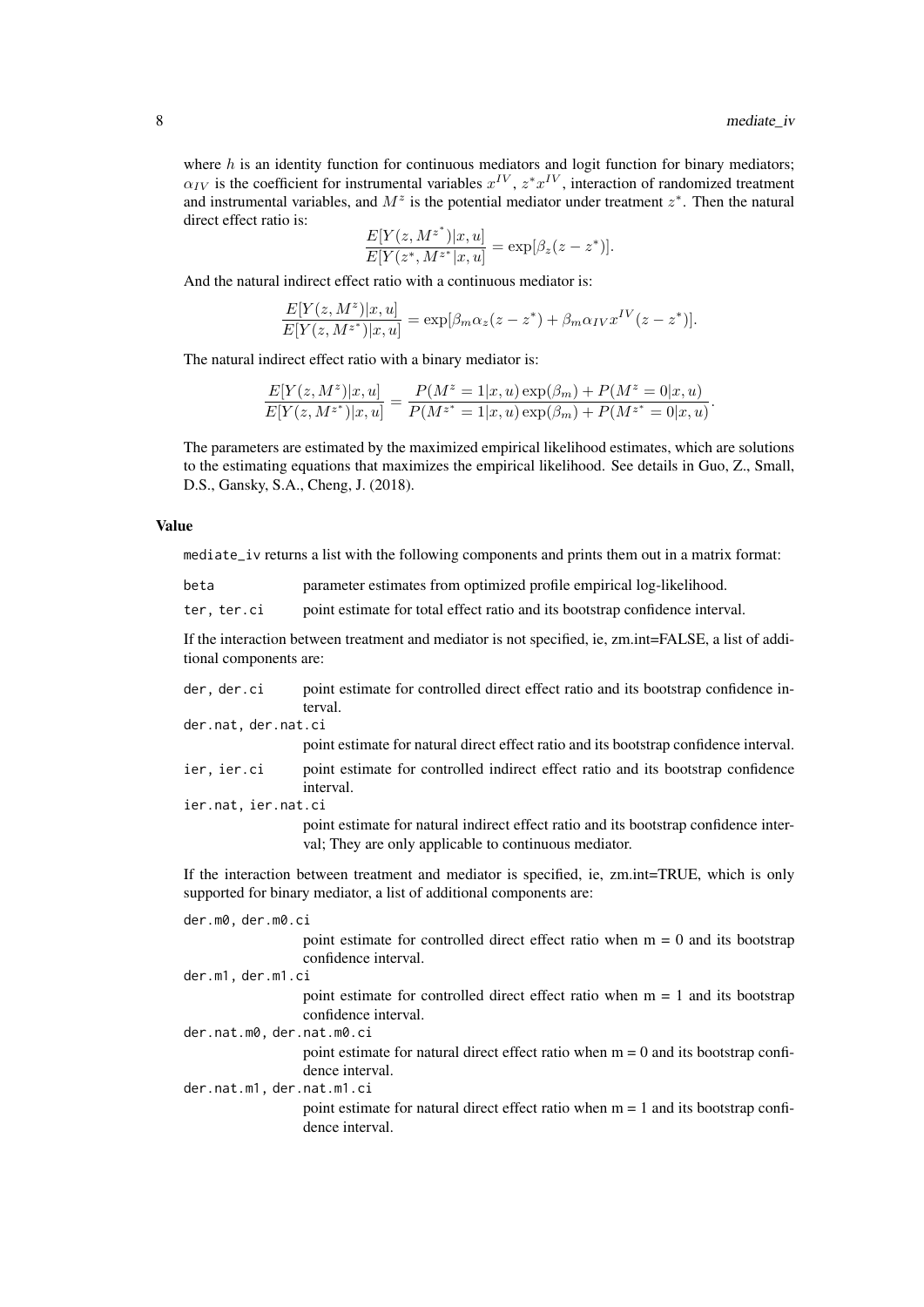where  $h$  is an identity function for continuous mediators and logit function for binary mediators;  $\alpha_{IV}$  is the coefficient for instrumental variables  $x^{IV}$ ,  $z^*x^{IV}$ , interaction of randomized treatment and instrumental variables, and  $M^z$  is the potential mediator under treatment  $z^*$ . Then the natural direct effect ratio is:

$$
\frac{E[Y(z, M^{z^*})|x, u]}{E[Y(z^*, M^{z^*}|x, u]} = \exp[\beta_z(z - z^*)].
$$

And the natural indirect effect ratio with a continuous mediator is:

$$
\frac{E[Y(z, M^z)|x, u]}{E[Y(z, M^{z^*})|x, u]} = \exp[\beta_m \alpha_z(z - z^*) + \beta_m \alpha_{IV} x^{IV}(z - z^*)].
$$

The natural indirect effect ratio with a binary mediator is:

$$
\frac{E[Y(z, M^z)|x, u]}{E[Y(z, M^{z^*})|x, u]} = \frac{P(M^z = 1|x, u) \exp(\beta_m) + P(M^z = 0|x, u)}{P(M^{z^*} = 1|x, u) \exp(\beta_m) + P(M^{z^*} = 0|x, u)}.
$$

The parameters are estimated by the maximized empirical likelihood estimates, which are solutions to the estimating equations that maximizes the empirical likelihood. See details in Guo, Z., Small, D.S., Gansky, S.A., Cheng, J. (2018).

#### Value

mediate\_iv returns a list with the following components and prints them out in a matrix format:

ter, ter.ci point estimate for total effect ratio and its bootstrap confidence interval.

If the interaction between treatment and mediator is not specified, ie, zm.int=FALSE, a list of additional components are:

| der, der.ci | point estimate for controlled direct effect ratio and its bootstrap confidence in- |
|-------------|------------------------------------------------------------------------------------|
|             | terval.                                                                            |

```
der.nat, der.nat.ci
```
point estimate for natural direct effect ratio and its bootstrap confidence interval.

```
ier, ier.ci point estimate for controlled indirect effect ratio and its bootstrap confidence
                  interval.
```
ier.nat, ier.nat.ci

point estimate for natural indirect effect ratio and its bootstrap confidence interval; They are only applicable to continuous mediator.

If the interaction between treatment and mediator is specified, ie, zm.int=TRUE, which is only supported for binary mediator, a list of additional components are:

| der.m0, der.m0.ci         |                                                                                                          |
|---------------------------|----------------------------------------------------------------------------------------------------------|
|                           | point estimate for controlled direct effect ratio when $m = 0$ and its bootstrap<br>confidence interval. |
| der.m1, der.m1.ci         |                                                                                                          |
|                           | point estimate for controlled direct effect ratio when $m = 1$ and its bootstrap<br>confidence interval. |
| der.nat.m0, der.nat.m0.ci |                                                                                                          |
|                           | point estimate for natural direct effect ratio when $m = 0$ and its bootstrap confi-<br>dence interval.  |
| der.nat.m1, der.nat.m1.ci |                                                                                                          |
|                           | point estimate for natural direct effect ratio when $m = 1$ and its bootstrap confi-<br>dence interval.  |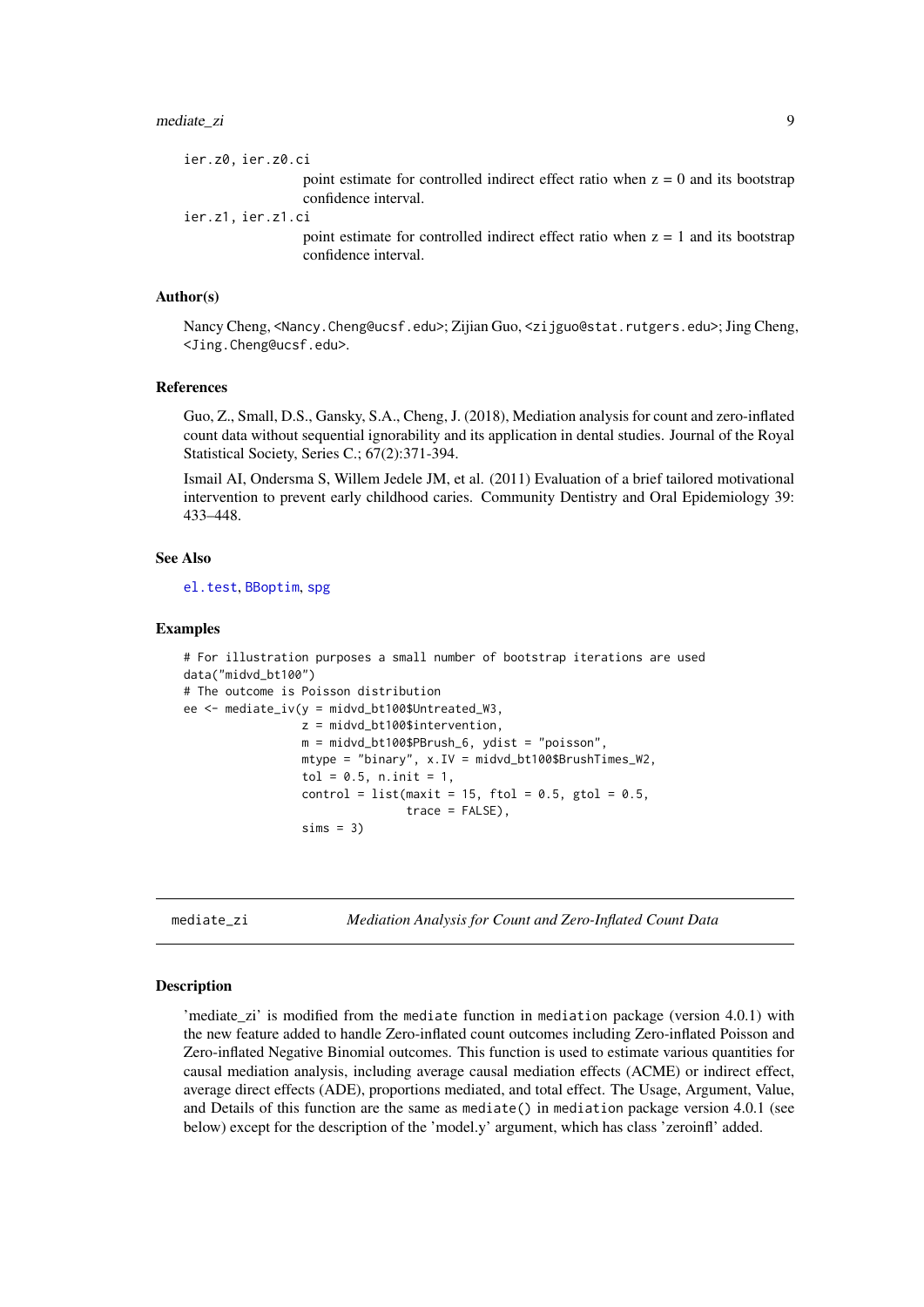<span id="page-8-0"></span>ier.z0, ier.z0.ci

point estimate for controlled indirect effect ratio when  $z = 0$  and its bootstrap confidence interval.

ier.z1, ier.z1.ci

point estimate for controlled indirect effect ratio when  $z = 1$  and its bootstrap confidence interval.

# Author(s)

Nancy Cheng, <Nancy.Cheng@ucsf.edu>; Zijian Guo, <zijguo@stat.rutgers.edu>; Jing Cheng, <Jing.Cheng@ucsf.edu>.

#### References

Guo, Z., Small, D.S., Gansky, S.A., Cheng, J. (2018), Mediation analysis for count and zero-inflated count data without sequential ignorability and its application in dental studies. Journal of the Royal Statistical Society, Series C.; 67(2):371-394.

Ismail AI, Ondersma S, Willem Jedele JM, et al. (2011) Evaluation of a brief tailored motivational intervention to prevent early childhood caries. Community Dentistry and Oral Epidemiology 39: 433–448.

#### See Also

[el.test](#page-0-0), [BBoptim](#page-0-0), [spg](#page-0-0)

#### Examples

```
# For illustration purposes a small number of bootstrap iterations are used
data("midvd_bt100")
# The outcome is Poisson distribution
ee \leq mediate_iv(y = midvd_bt100$Untreated_W3,
                 z = midvd_bt100$intervention,
                 m = midvd_bt100$PBrush_6, ydist = "poisson",
                 mtype = "binary", x.IV = midvd_bt100$BrushTimes_W2,
                 tol = 0.5, n.init = 1,control = list(maxit = 15, ftol = 0.5, gtol = 0.5,
                                trace = FALSE),
                 sims = 3)
```
<span id="page-8-1"></span>mediate\_zi *Mediation Analysis for Count and Zero-Inflated Count Data*

#### Description

'mediate\_zi' is modified from the mediate function in mediation package (version 4.0.1) with the new feature added to handle Zero-inflated count outcomes including Zero-inflated Poisson and Zero-inflated Negative Binomial outcomes. This function is used to estimate various quantities for causal mediation analysis, including average causal mediation effects (ACME) or indirect effect, average direct effects (ADE), proportions mediated, and total effect. The Usage, Argument, Value, and Details of this function are the same as mediate() in mediation package version 4.0.1 (see below) except for the description of the 'model.y' argument, which has class 'zeroinfl' added.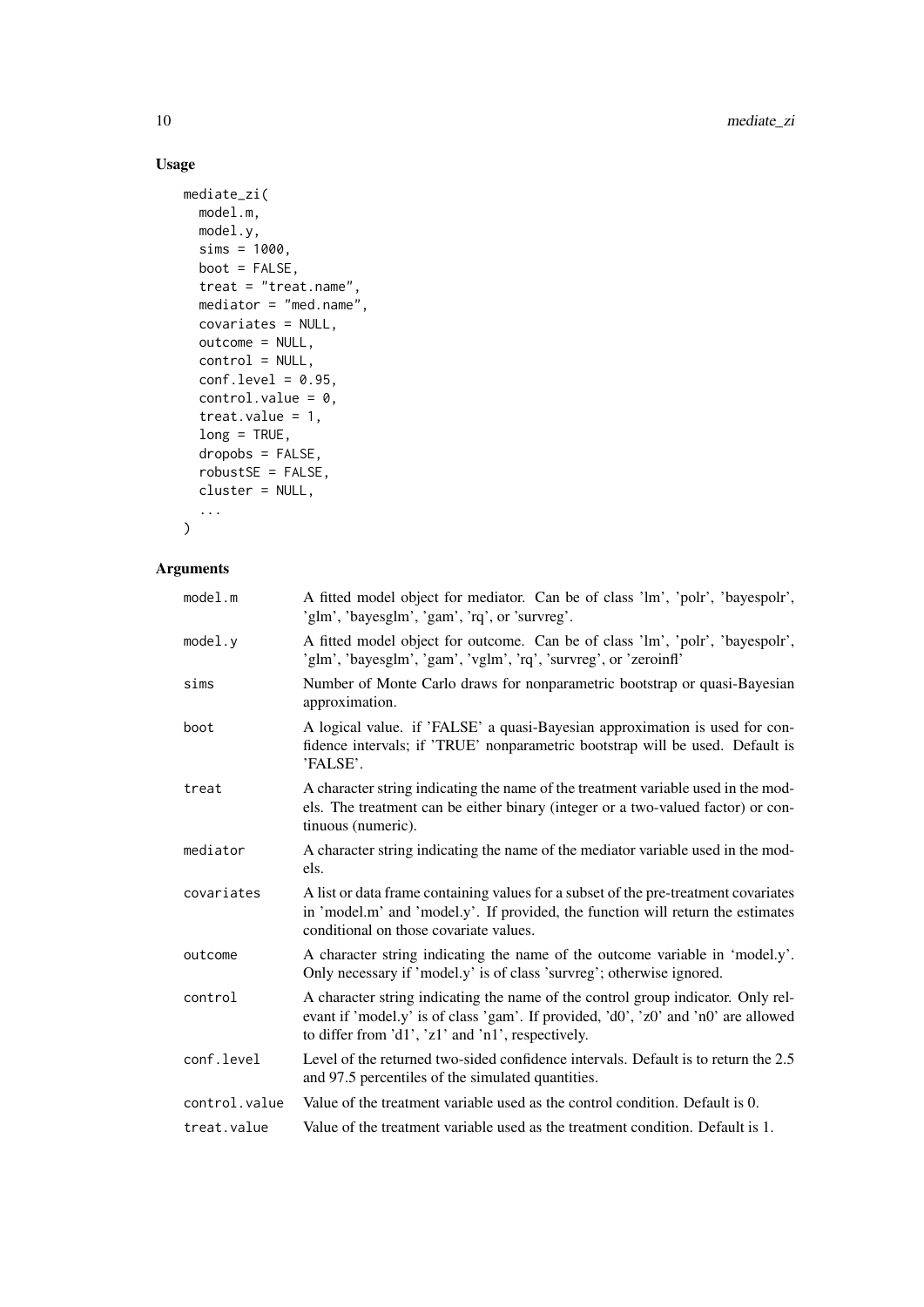# Usage

```
mediate_zi(
 model.m,
 model.y,
  sims = 1000,
  boot = FALSE,
  treat = "treat.name",
  mediator = "med.name",
  covariates = NULL,
  outcome = NULL,
  control = NULL,conf.level = 0.95,control.value = 0,treat.value = 1,
 long = TRUE,
  dropobs = FALSE,
  robustSE = FALSE,
  cluster = NULL,
  ...
)
```

| A fitted model object for mediator. Can be of class 'lm', 'polr', 'bayespolr',<br>'glm', 'bayesglm', 'gam', 'rq', or 'survreg'.                                                                                             |
|-----------------------------------------------------------------------------------------------------------------------------------------------------------------------------------------------------------------------------|
| A fitted model object for outcome. Can be of class 'lm', 'polr', 'bayespolr',<br>'glm', 'bayesglm', 'gam', 'vglm', 'rq', 'survreg', or 'zeroinfl'                                                                           |
| Number of Monte Carlo draws for nonparametric bootstrap or quasi-Bayesian<br>approximation.                                                                                                                                 |
| A logical value. if 'FALSE' a quasi-Bayesian approximation is used for con-<br>fidence intervals; if 'TRUE' nonparametric bootstrap will be used. Default is<br>'FALSE'.                                                    |
| A character string indicating the name of the treatment variable used in the mod-<br>els. The treatment can be either binary (integer or a two-valued factor) or con-<br>tinuous (numeric).                                 |
| A character string indicating the name of the mediator variable used in the mod-<br>els.                                                                                                                                    |
| A list or data frame containing values for a subset of the pre-treatment covariates<br>in 'model.m' and 'model.y'. If provided, the function will return the estimates<br>conditional on those covariate values.            |
| A character string indicating the name of the outcome variable in 'model.y'.<br>Only necessary if 'model.y' is of class 'survreg'; otherwise ignored.                                                                       |
| A character string indicating the name of the control group indicator. Only rel-<br>evant if 'model.y' is of class 'gam'. If provided, 'd0', 'z0' and 'n0' are allowed<br>to differ from 'd1', 'z1' and 'n1', respectively. |
| Level of the returned two-sided confidence intervals. Default is to return the 2.5<br>and 97.5 percentiles of the simulated quantities.                                                                                     |
| Value of the treatment variable used as the control condition. Default is 0.                                                                                                                                                |
| Value of the treatment variable used as the treatment condition. Default is 1.                                                                                                                                              |
|                                                                                                                                                                                                                             |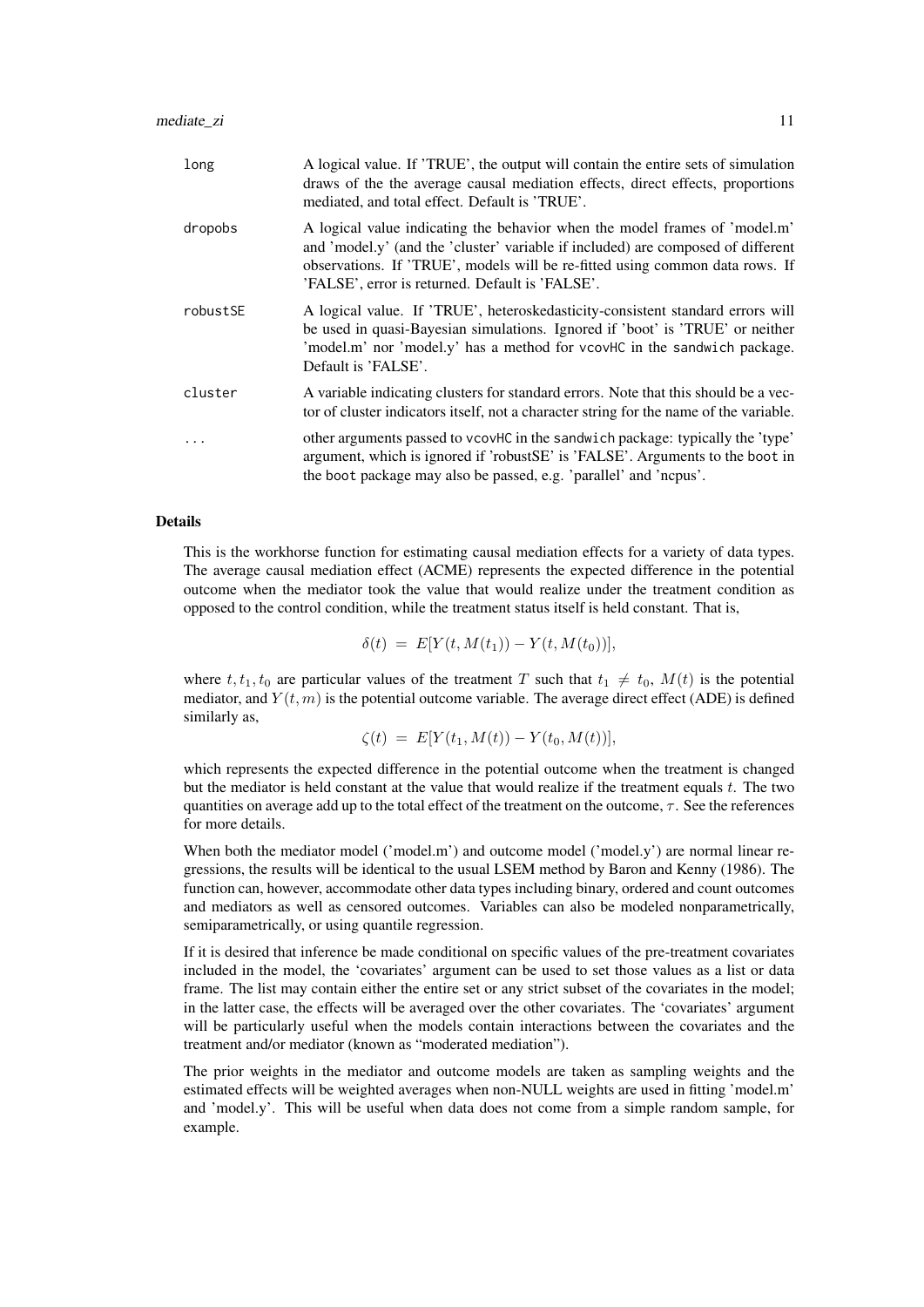| long     | A logical value. If 'TRUE', the output will contain the entire sets of simulation<br>draws of the the average causal mediation effects, direct effects, proportions<br>mediated, and total effect. Default is 'TRUE'.                                                                             |
|----------|---------------------------------------------------------------------------------------------------------------------------------------------------------------------------------------------------------------------------------------------------------------------------------------------------|
| dropobs  | A logical value indicating the behavior when the model frames of 'model.m'<br>and 'model.y' (and the 'cluster' variable if included) are composed of different<br>observations. If 'TRUE', models will be re-fitted using common data rows. If<br>'FALSE', error is returned. Default is 'FALSE'. |
| robustSE | A logical value. If 'TRUE', heteroskedasticity-consistent standard errors will<br>be used in quasi-Bayesian simulations. Ignored if 'boot' is 'TRUE' or neither<br>'model.m' nor 'model.y' has a method for vcovHC in the sandwich package.<br>Default is 'FALSE'.                                |
| cluster  | A variable indicating clusters for standard errors. Note that this should be a vec-<br>tor of cluster indicators itself, not a character string for the name of the variable.                                                                                                                     |
|          | other arguments passed to vcovHC in the sandwich package: typically the 'type'<br>argument, which is ignored if 'robustSE' is 'FALSE'. Arguments to the boot in<br>the boot package may also be passed, e.g. 'parallel' and 'ncpus'.                                                              |

#### Details

This is the workhorse function for estimating causal mediation effects for a variety of data types. The average causal mediation effect (ACME) represents the expected difference in the potential outcome when the mediator took the value that would realize under the treatment condition as opposed to the control condition, while the treatment status itself is held constant. That is,

 $\delta(t) = E[Y(t, M(t_1)) - Y(t, M(t_0))],$ 

where t,  $t_1, t_0$  are particular values of the treatment T such that  $t_1 \neq t_0$ ,  $M(t)$  is the potential mediator, and  $Y(t, m)$  is the potential outcome variable. The average direct effect (ADE) is defined similarly as,

$$
\zeta(t) = E[Y(t_1, M(t)) - Y(t_0, M(t))],
$$

which represents the expected difference in the potential outcome when the treatment is changed but the mediator is held constant at the value that would realize if the treatment equals  $t$ . The two quantities on average add up to the total effect of the treatment on the outcome,  $\tau$ . See the references for more details.

When both the mediator model ('model.m') and outcome model ('model.y') are normal linear regressions, the results will be identical to the usual LSEM method by Baron and Kenny (1986). The function can, however, accommodate other data types including binary, ordered and count outcomes and mediators as well as censored outcomes. Variables can also be modeled nonparametrically, semiparametrically, or using quantile regression.

If it is desired that inference be made conditional on specific values of the pre-treatment covariates included in the model, the 'covariates' argument can be used to set those values as a list or data frame. The list may contain either the entire set or any strict subset of the covariates in the model; in the latter case, the effects will be averaged over the other covariates. The 'covariates' argument will be particularly useful when the models contain interactions between the covariates and the treatment and/or mediator (known as "moderated mediation").

The prior weights in the mediator and outcome models are taken as sampling weights and the estimated effects will be weighted averages when non-NULL weights are used in fitting 'model.m' and 'model.y'. This will be useful when data does not come from a simple random sample, for example.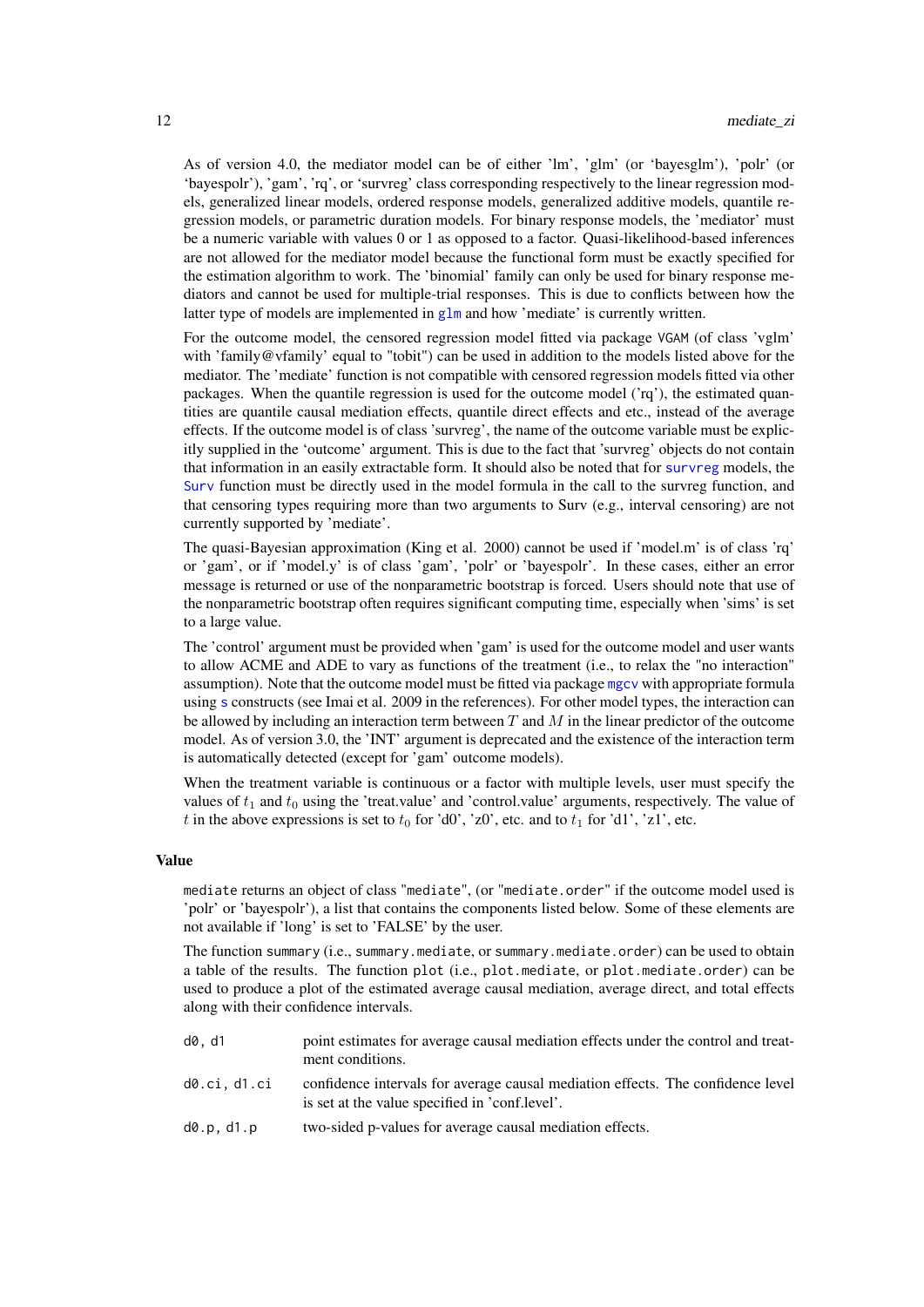<span id="page-11-0"></span>As of version 4.0, the mediator model can be of either 'lm', 'glm' (or 'bayesglm'), 'polr' (or 'bayespolr'), 'gam', 'rq', or 'survreg' class corresponding respectively to the linear regression models, generalized linear models, ordered response models, generalized additive models, quantile regression models, or parametric duration models. For binary response models, the 'mediator' must be a numeric variable with values 0 or 1 as opposed to a factor. Quasi-likelihood-based inferences are not allowed for the mediator model because the functional form must be exactly specified for the estimation algorithm to work. The 'binomial' family can only be used for binary response mediators and cannot be used for multiple-trial responses. This is due to conflicts between how the latter type of models are implemented in [glm](#page-0-0) and how 'mediate' is currently written.

For the outcome model, the censored regression model fitted via package VGAM (of class 'vglm' with 'family@vfamily' equal to "tobit") can be used in addition to the models listed above for the mediator. The 'mediate' function is not compatible with censored regression models fitted via other packages. When the quantile regression is used for the outcome model ('rq'), the estimated quantities are quantile causal mediation effects, quantile direct effects and etc., instead of the average effects. If the outcome model is of class 'survreg', the name of the outcome variable must be explicitly supplied in the 'outcome' argument. This is due to the fact that 'survreg' objects do not contain that information in an easily extractable form. It should also be noted that for [survreg](#page-0-0) models, the [Surv](#page-0-0) function must be directly used in the model formula in the call to the survreg function, and that censoring types requiring more than two arguments to Surv (e.g., interval censoring) are not currently supported by 'mediate'.

The quasi-Bayesian approximation (King et al. 2000) cannot be used if 'model.m' is of class 'rq' or 'gam', or if 'model.y' is of class 'gam', 'polr' or 'bayespolr'. In these cases, either an error message is returned or use of the nonparametric bootstrap is forced. Users should note that use of the nonparametric bootstrap often requires significant computing time, especially when 'sims' is set to a large value.

The 'control' argument must be provided when 'gam' is used for the outcome model and user wants to allow ACME and ADE to vary as functions of the treatment (i.e., to relax the "no interaction" assumption). Note that the outcome model must be fitted via package [mgcv](#page-0-0) with appropriate formula using [s](#page-0-0) constructs (see Imai et al. 2009 in the references). For other model types, the interaction can be allowed by including an interaction term between  $T$  and  $M$  in the linear predictor of the outcome model. As of version 3.0, the 'INT' argument is deprecated and the existence of the interaction term is automatically detected (except for 'gam' outcome models).

When the treatment variable is continuous or a factor with multiple levels, user must specify the values of  $t_1$  and  $t_0$  using the 'treat.value' and 'control.value' arguments, respectively. The value of t in the above expressions is set to  $t_0$  for 'd0', 'z0', etc. and to  $t_1$  for 'd1', 'z1', etc.

#### Value

mediate returns an object of class "mediate", (or "mediate.order" if the outcome model used is 'polr' or 'bayespolr'), a list that contains the components listed below. Some of these elements are not available if 'long' is set to 'FALSE' by the user.

The function summary (i.e., summary.mediate, or summary.mediate.order) can be used to obtain a table of the results. The function plot (i.e., plot.mediate, or plot.mediate.order) can be used to produce a plot of the estimated average causal mediation, average direct, and total effects along with their confidence intervals.

- d0, d1 point estimates for average causal mediation effects under the control and treatment conditions.
- d0.ci, d1.ci confidence intervals for average causal mediation effects. The confidence level is set at the value specified in 'conf.level'.
- d0.p, d1.p two-sided p-values for average causal mediation effects.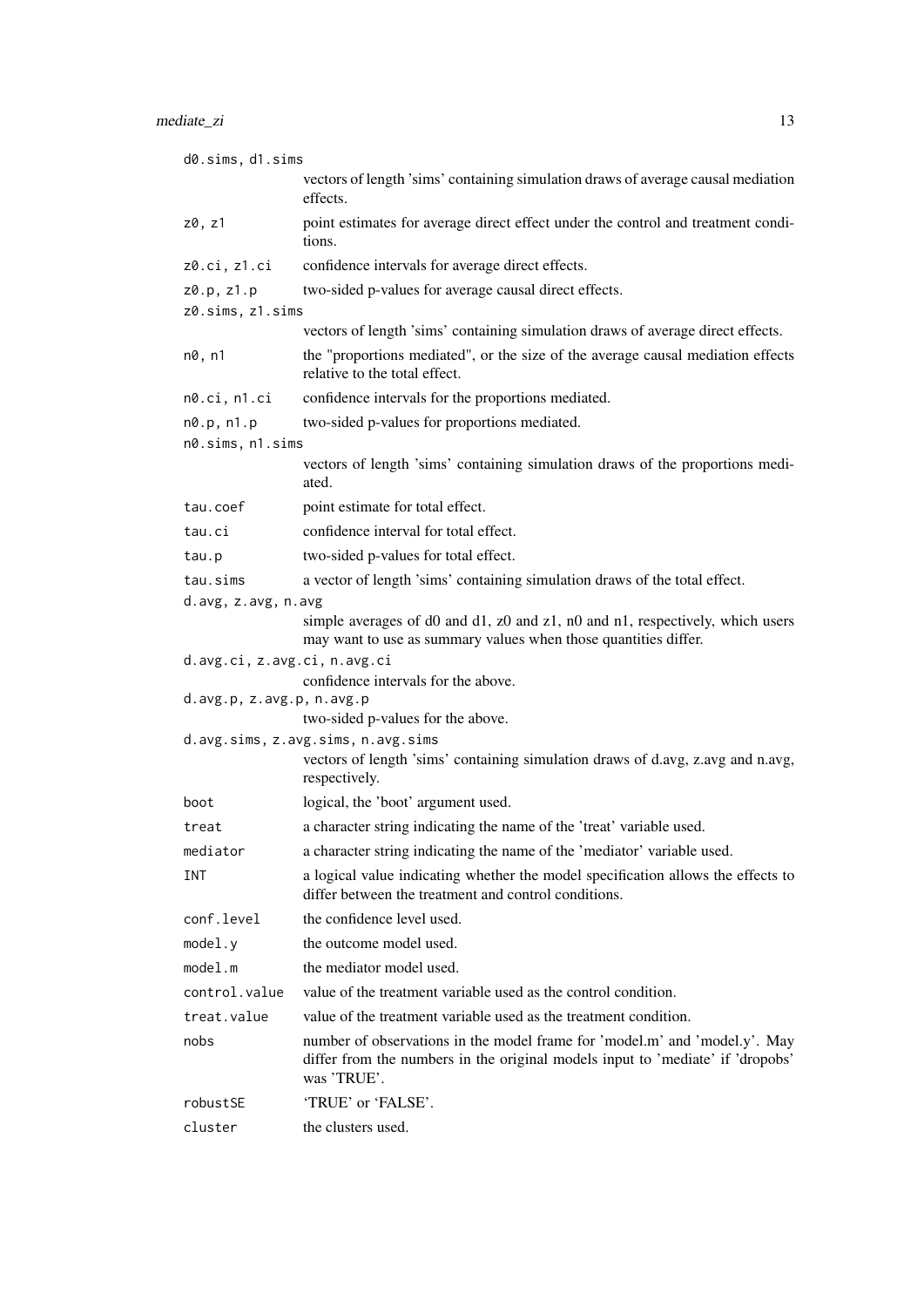| d0.sims, d1.sims             |                                                                                                                                                                             |
|------------------------------|-----------------------------------------------------------------------------------------------------------------------------------------------------------------------------|
|                              | vectors of length 'sims' containing simulation draws of average causal mediation<br>effects.                                                                                |
| z0, z1                       | point estimates for average direct effect under the control and treatment condi-<br>tions.                                                                                  |
| z0.ci, z1.ci                 | confidence intervals for average direct effects.                                                                                                                            |
| z0.p, z1.p                   | two-sided p-values for average causal direct effects.                                                                                                                       |
| z0.sims, z1.sims             |                                                                                                                                                                             |
|                              | vectors of length 'sims' containing simulation draws of average direct effects.                                                                                             |
| n0, n1                       | the "proportions mediated", or the size of the average causal mediation effects<br>relative to the total effect.                                                            |
| n0.ci, n1.ci                 | confidence intervals for the proportions mediated.                                                                                                                          |
| n0.p, n1.p                   | two-sided p-values for proportions mediated.                                                                                                                                |
| n0.sims, n1.sims             |                                                                                                                                                                             |
|                              | vectors of length 'sims' containing simulation draws of the proportions medi-<br>ated.                                                                                      |
| tau.coef                     | point estimate for total effect.                                                                                                                                            |
| tau.ci                       | confidence interval for total effect.                                                                                                                                       |
| tau.p                        | two-sided p-values for total effect.                                                                                                                                        |
| tau.sims                     | a vector of length 'sims' containing simulation draws of the total effect.                                                                                                  |
| d.avg, z.avg, n.avg          |                                                                                                                                                                             |
|                              | simple averages of d0 and d1, z0 and z1, n0 and n1, respectively, which users<br>may want to use as summary values when those quantities differ.                            |
| d.avg.ci, z.avg.ci, n.avg.ci |                                                                                                                                                                             |
| d.avg.p, z.avg.p, n.avg.p    | confidence intervals for the above.                                                                                                                                         |
|                              | two-sided p-values for the above.                                                                                                                                           |
|                              | d.avg.sims, z.avg.sims, n.avg.sims                                                                                                                                          |
|                              | vectors of length 'sims' containing simulation draws of d.avg, z.avg and n.avg,<br>respectively.                                                                            |
| boot                         | logical, the 'boot' argument used.                                                                                                                                          |
| treat                        | a character string indicating the name of the 'treat' variable used.                                                                                                        |
| mediator                     | a character string indicating the name of the 'mediator' variable used.                                                                                                     |
| INT                          | a logical value indicating whether the model specification allows the effects to<br>differ between the treatment and control conditions.                                    |
| conf.level                   | the confidence level used.                                                                                                                                                  |
| model.y                      | the outcome model used.                                                                                                                                                     |
| model.m                      | the mediator model used.                                                                                                                                                    |
| control.value                | value of the treatment variable used as the control condition.                                                                                                              |
| treat.value                  | value of the treatment variable used as the treatment condition.                                                                                                            |
| nobs                         | number of observations in the model frame for 'model.m' and 'model.y'. May<br>differ from the numbers in the original models input to 'mediate' if 'dropobs'<br>was 'TRUE'. |
| robustSE                     | 'TRUE' or 'FALSE'.                                                                                                                                                          |
| cluster                      | the clusters used.                                                                                                                                                          |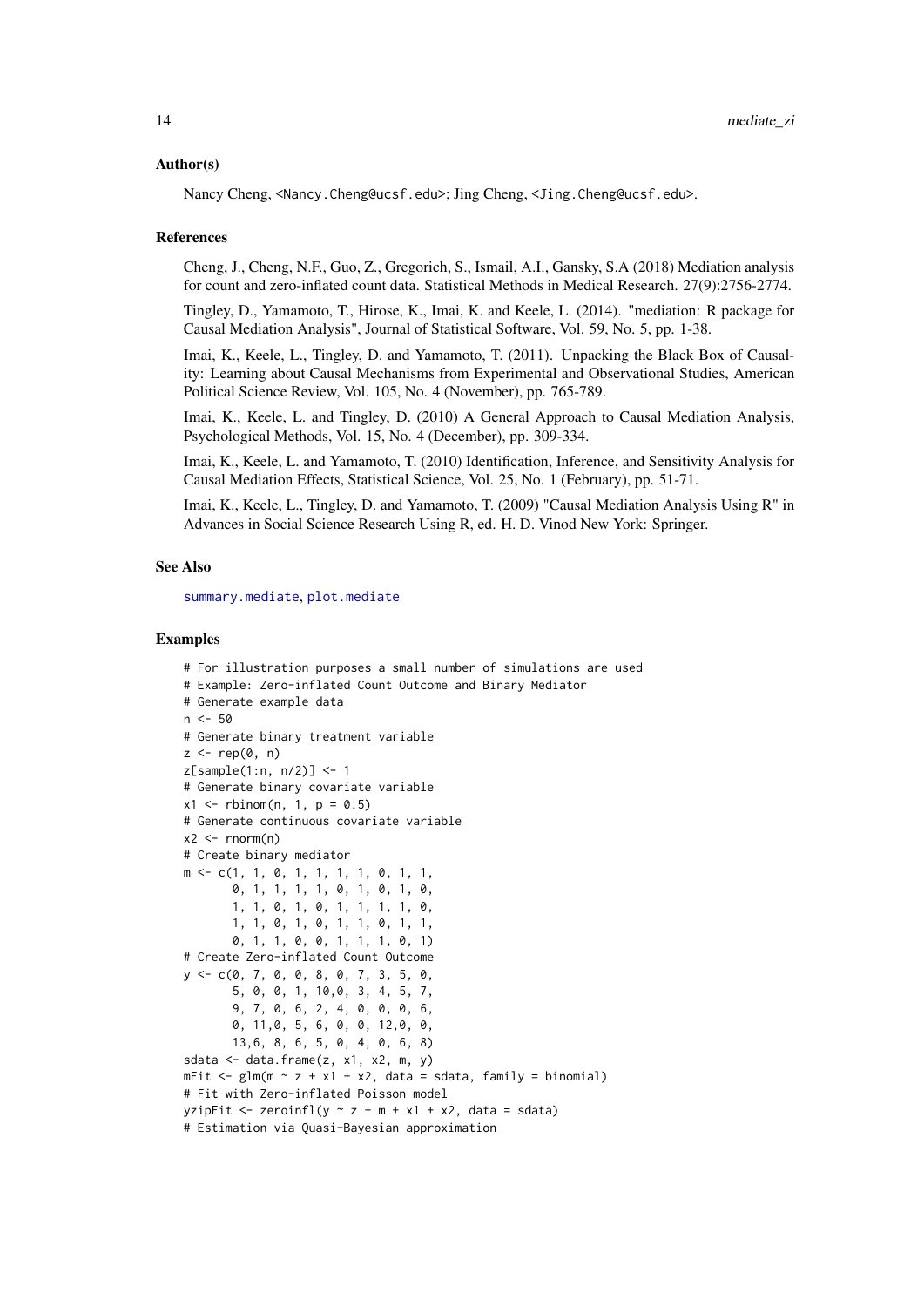#### <span id="page-13-0"></span>Author(s)

Nancy Cheng, <Nancy.Cheng@ucsf.edu>; Jing Cheng, <Jing.Cheng@ucsf.edu>.

#### References

Cheng, J., Cheng, N.F., Guo, Z., Gregorich, S., Ismail, A.I., Gansky, S.A (2018) Mediation analysis for count and zero-inflated count data. Statistical Methods in Medical Research. 27(9):2756-2774.

Tingley, D., Yamamoto, T., Hirose, K., Imai, K. and Keele, L. (2014). "mediation: R package for Causal Mediation Analysis", Journal of Statistical Software, Vol. 59, No. 5, pp. 1-38.

Imai, K., Keele, L., Tingley, D. and Yamamoto, T. (2011). Unpacking the Black Box of Causality: Learning about Causal Mechanisms from Experimental and Observational Studies, American Political Science Review, Vol. 105, No. 4 (November), pp. 765-789.

Imai, K., Keele, L. and Tingley, D. (2010) A General Approach to Causal Mediation Analysis, Psychological Methods, Vol. 15, No. 4 (December), pp. 309-334.

Imai, K., Keele, L. and Yamamoto, T. (2010) Identification, Inference, and Sensitivity Analysis for Causal Mediation Effects, Statistical Science, Vol. 25, No. 1 (February), pp. 51-71.

Imai, K., Keele, L., Tingley, D. and Yamamoto, T. (2009) "Causal Mediation Analysis Using R" in Advances in Social Science Research Using R, ed. H. D. Vinod New York: Springer.

#### See Also

[summary.mediate](#page-0-0), [plot.mediate](#page-0-0)

#### Examples

```
# For illustration purposes a small number of simulations are used
# Example: Zero-inflated Count Outcome and Binary Mediator
# Generate example data
n < -50# Generate binary treatment variable
z \leq rep(0, n)z[sample(1:n, n/2)] <- 1
# Generate binary covariate variable
x1 \leq r \text{binom}(n, 1, p = 0.5)# Generate continuous covariate variable
x2 \le rnorm(n)
# Create binary mediator
m <- c(1, 1, 0, 1, 1, 1, 1, 0, 1, 1,
       0, 1, 1, 1, 1, 0, 1, 0, 1, 0,
       1, 1, 0, 1, 0, 1, 1, 1, 1, 0,
       1, 1, 0, 1, 0, 1, 1, 0, 1, 1,
       0, 1, 1, 0, 0, 1, 1, 1, 0, 1)
# Create Zero-inflated Count Outcome
y <- c(0, 7, 0, 0, 8, 0, 7, 3, 5, 0,
       5, 0, 0, 1, 10,0, 3, 4, 5, 7,
       9, 7, 0, 6, 2, 4, 0, 0, 0, 6,
       0, 11,0, 5, 6, 0, 0, 12,0, 0,
       13,6, 8, 6, 5, 0, 4, 0, 6, 8)
sdata \leq data.frame(z, x1, x2, m, y)
mFit \leftarrow glm(m \sim z + x1 + x2, data = sdata, family = binomial)# Fit with Zero-inflated Poisson model
yzipFit <- zeroinfl(y \sim z + m + x1 + x2, data = sdata)
# Estimation via Quasi-Bayesian approximation
```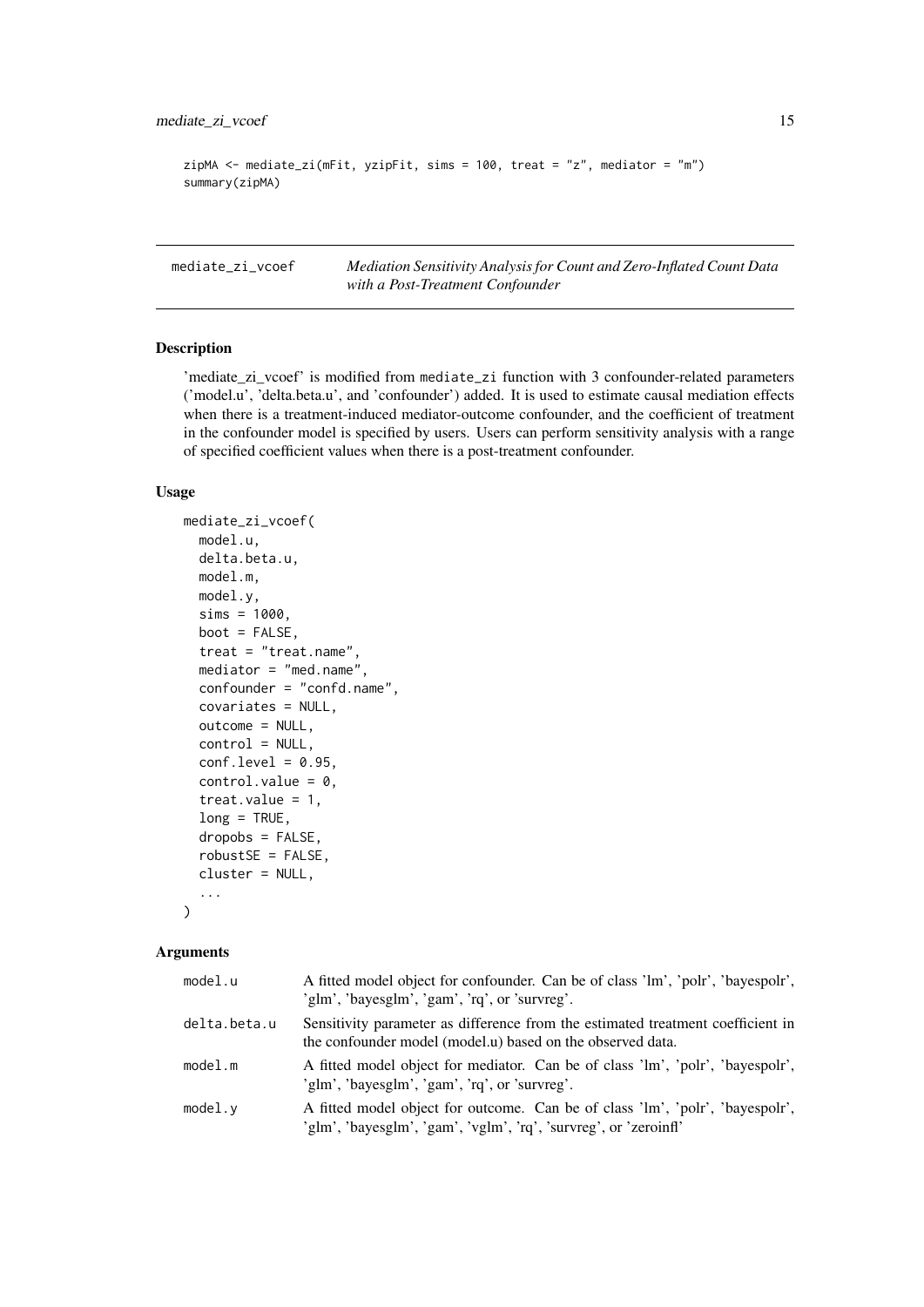```
zipMA <- mediate_zi(mFit, yzipFit, sims = 100, treat = "z", mediator = "m")
summary(zipMA)
```
<span id="page-14-1"></span>mediate\_zi\_vcoef *Mediation Sensitivity Analysis for Count and Zero-Inflated Count Data with a Post-Treatment Confounder*

#### Description

'mediate\_zi\_vcoef' is modified from mediate\_zi function with 3 confounder-related parameters ('model.u', 'delta.beta.u', and 'confounder') added. It is used to estimate causal mediation effects when there is a treatment-induced mediator-outcome confounder, and the coefficient of treatment in the confounder model is specified by users. Users can perform sensitivity analysis with a range of specified coefficient values when there is a post-treatment confounder.

#### Usage

```
mediate_zi_vcoef(
  model.u,
  delta.beta.u,
  model.m,
  model.y,
  sims = 1000.
  boot = FALSE,
  treat = "treat.name",
  mediator = "med.name",
  confounder = "confd.name",
  covariates = NULL,
  outcome = NULL,
  control = NULL,
  conf. level = 0.95.control.value = 0,
  treat.value = 1,
  long = TRUE,
  dropobs = FALSE,
  robustSE = FALSE,
  cluster = NULL,
  ...
\lambda
```

| model.u      | A fitted model object for confounder. Can be of class 'lm', 'polr', 'bayespolr',<br>'glm', 'bayesglm', 'gam', 'rq', or 'survreg'.                 |
|--------------|---------------------------------------------------------------------------------------------------------------------------------------------------|
| delta.beta.u | Sensitivity parameter as difference from the estimated treatment coefficient in<br>the confounder model (model.u) based on the observed data.     |
| model.m      | A fitted model object for mediator. Can be of class 'lm', 'polr', 'bayespolr',<br>'glm', 'bayesglm', 'gam', 'rq', or 'survreg'.                   |
| model.v      | A fitted model object for outcome. Can be of class 'lm', 'polr', 'bayespolr',<br>'glm', 'bayesglm', 'gam', 'vglm', 'rq', 'survreg', or 'zeroinfl' |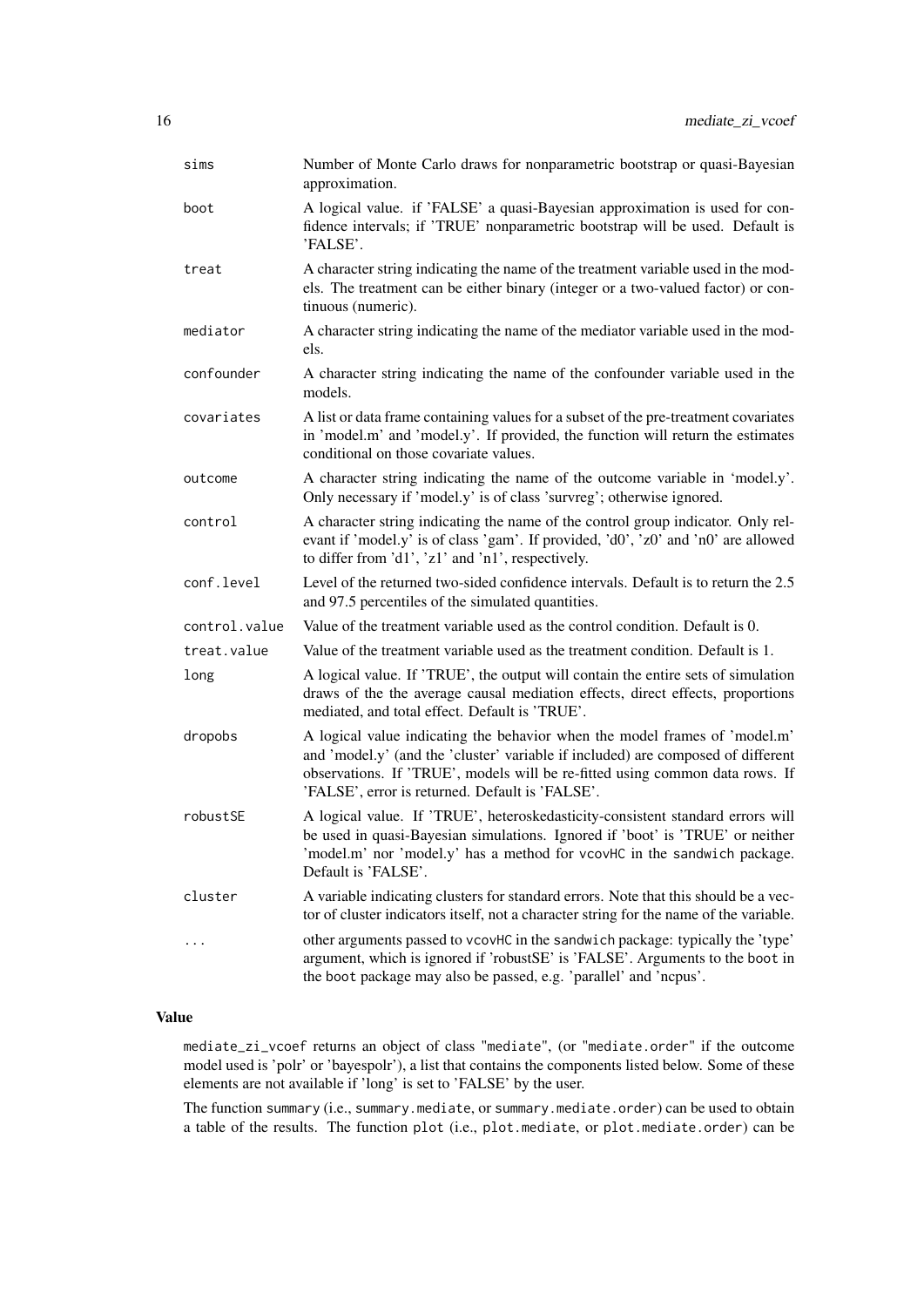| sims          | Number of Monte Carlo draws for nonparametric bootstrap or quasi-Bayesian<br>approximation.                                                                                                                                                                                                       |
|---------------|---------------------------------------------------------------------------------------------------------------------------------------------------------------------------------------------------------------------------------------------------------------------------------------------------|
| boot          | A logical value. if 'FALSE' a quasi-Bayesian approximation is used for con-<br>fidence intervals; if 'TRUE' nonparametric bootstrap will be used. Default is<br>'FALSE'.                                                                                                                          |
| treat         | A character string indicating the name of the treatment variable used in the mod-<br>els. The treatment can be either binary (integer or a two-valued factor) or con-<br>tinuous (numeric).                                                                                                       |
| mediator      | A character string indicating the name of the mediator variable used in the mod-<br>els.                                                                                                                                                                                                          |
| confounder    | A character string indicating the name of the confounder variable used in the<br>models.                                                                                                                                                                                                          |
| covariates    | A list or data frame containing values for a subset of the pre-treatment covariates<br>in 'model.m' and 'model.y'. If provided, the function will return the estimates<br>conditional on those covariate values.                                                                                  |
| outcome       | A character string indicating the name of the outcome variable in 'model.y'.<br>Only necessary if 'model.y' is of class 'survreg'; otherwise ignored.                                                                                                                                             |
| control       | A character string indicating the name of the control group indicator. Only rel-<br>evant if 'model.y' is of class 'gam'. If provided, 'd0', 'z0' and 'n0' are allowed<br>to differ from 'd1', 'z1' and 'n1', respectively.                                                                       |
| conf.level    | Level of the returned two-sided confidence intervals. Default is to return the 2.5<br>and 97.5 percentiles of the simulated quantities.                                                                                                                                                           |
| control.value | Value of the treatment variable used as the control condition. Default is 0.                                                                                                                                                                                                                      |
| treat.value   | Value of the treatment variable used as the treatment condition. Default is 1.                                                                                                                                                                                                                    |
| long          | A logical value. If 'TRUE', the output will contain the entire sets of simulation<br>draws of the the average causal mediation effects, direct effects, proportions<br>mediated, and total effect. Default is 'TRUE'.                                                                             |
| dropobs       | A logical value indicating the behavior when the model frames of 'model.m'<br>and 'model.y' (and the 'cluster' variable if included) are composed of different<br>observations. If 'TRUE', models will be re-fitted using common data rows. If<br>'FALSE', error is returned. Default is 'FALSE'. |
| robustSE      | A logical value. If 'TRUE', heteroskedasticity-consistent standard errors will<br>be used in quasi-Bayesian simulations. Ignored if 'boot' is 'TRUE' or neither<br>'model.m' nor 'model.y' has a method for vcovHC in the sandwich package.<br>Default is 'FALSE'.                                |
| cluster       | A variable indicating clusters for standard errors. Note that this should be a vec-<br>tor of cluster indicators itself, not a character string for the name of the variable.                                                                                                                     |
|               | other arguments passed to vcovHC in the sandwich package: typically the 'type'<br>argument, which is ignored if 'robustSE' is 'FALSE'. Arguments to the boot in<br>the boot package may also be passed, e.g. 'parallel' and 'ncpus'.                                                              |

# Value

mediate\_zi\_vcoef returns an object of class "mediate", (or "mediate.order" if the outcome model used is 'polr' or 'bayespolr'), a list that contains the components listed below. Some of these elements are not available if 'long' is set to 'FALSE' by the user.

The function summary (i.e., summary.mediate, or summary.mediate.order) can be used to obtain a table of the results. The function plot (i.e., plot.mediate, or plot.mediate.order) can be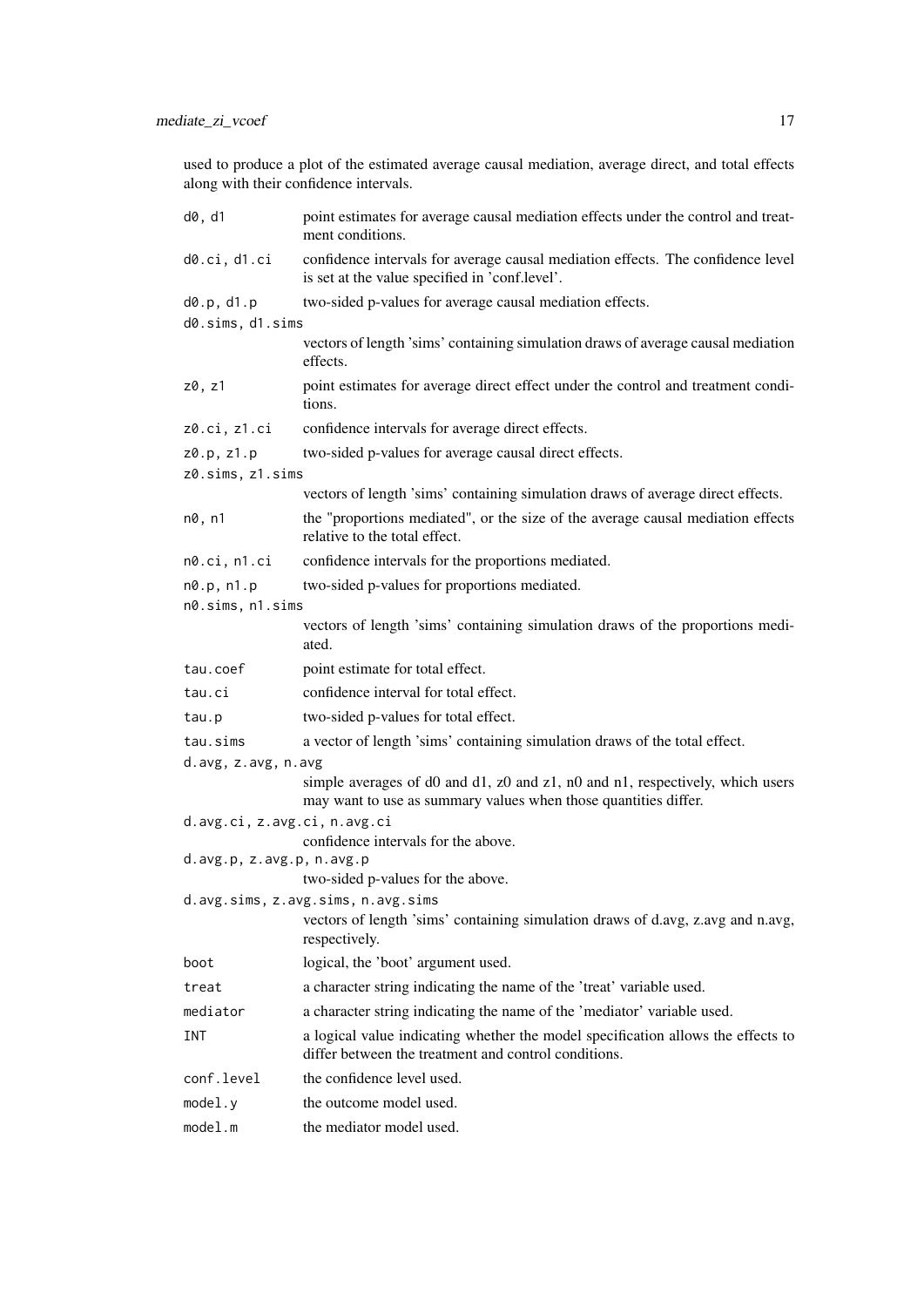used to produce a plot of the estimated average causal mediation, average direct, and total effects along with their confidence intervals.

| d0, d1                       | point estimates for average causal mediation effects under the control and treat-<br>ment conditions.                                            |
|------------------------------|--------------------------------------------------------------------------------------------------------------------------------------------------|
| d0.ci, d1.ci                 | confidence intervals for average causal mediation effects. The confidence level<br>is set at the value specified in 'conf.level'.                |
| d0.p, d1.p                   | two-sided p-values for average causal mediation effects.                                                                                         |
| d0.sims, d1.sims             |                                                                                                                                                  |
|                              | vectors of length 'sims' containing simulation draws of average causal mediation<br>effects.                                                     |
| z0, z1                       | point estimates for average direct effect under the control and treatment condi-<br>tions.                                                       |
| z0.ci, z1.ci                 | confidence intervals for average direct effects.                                                                                                 |
| z0.p, z1.p                   | two-sided p-values for average causal direct effects.                                                                                            |
| z0.sims, z1.sims             |                                                                                                                                                  |
|                              | vectors of length 'sims' containing simulation draws of average direct effects.                                                                  |
| n0, n1                       | the "proportions mediated", or the size of the average causal mediation effects<br>relative to the total effect.                                 |
| n0.ci, n1.ci                 | confidence intervals for the proportions mediated.                                                                                               |
| n0.p, n1.p                   | two-sided p-values for proportions mediated.                                                                                                     |
| n0.sims, n1.sims             |                                                                                                                                                  |
|                              | vectors of length 'sims' containing simulation draws of the proportions medi-<br>ated.                                                           |
| tau.coef                     | point estimate for total effect.                                                                                                                 |
| tau.ci                       | confidence interval for total effect.                                                                                                            |
| tau.p                        | two-sided p-values for total effect.                                                                                                             |
| tau.sims                     | a vector of length 'sims' containing simulation draws of the total effect.                                                                       |
| d.avg, z.avg, n.avg          |                                                                                                                                                  |
|                              | simple averages of d0 and d1, z0 and z1, n0 and n1, respectively, which users<br>may want to use as summary values when those quantities differ. |
| d.avg.ci, z.avg.ci, n.avg.ci | confidence intervals for the above.                                                                                                              |
| d.avg.p, z.avg.p, n.avg.p    | two-sided p-values for the above.                                                                                                                |
|                              | d.avg.sims, z.avg.sims, n.avg.sims<br>vectors of length 'sims' containing simulation draws of d.avg, z.avg and n.avg,<br>respectively.           |
| boot                         | logical, the 'boot' argument used.                                                                                                               |
| treat                        | a character string indicating the name of the 'treat' variable used.                                                                             |
| mediator                     | a character string indicating the name of the 'mediator' variable used.                                                                          |
| INT                          | a logical value indicating whether the model specification allows the effects to<br>differ between the treatment and control conditions.         |
| conf.level                   | the confidence level used.                                                                                                                       |
| model.y                      | the outcome model used.                                                                                                                          |
| model.m                      | the mediator model used.                                                                                                                         |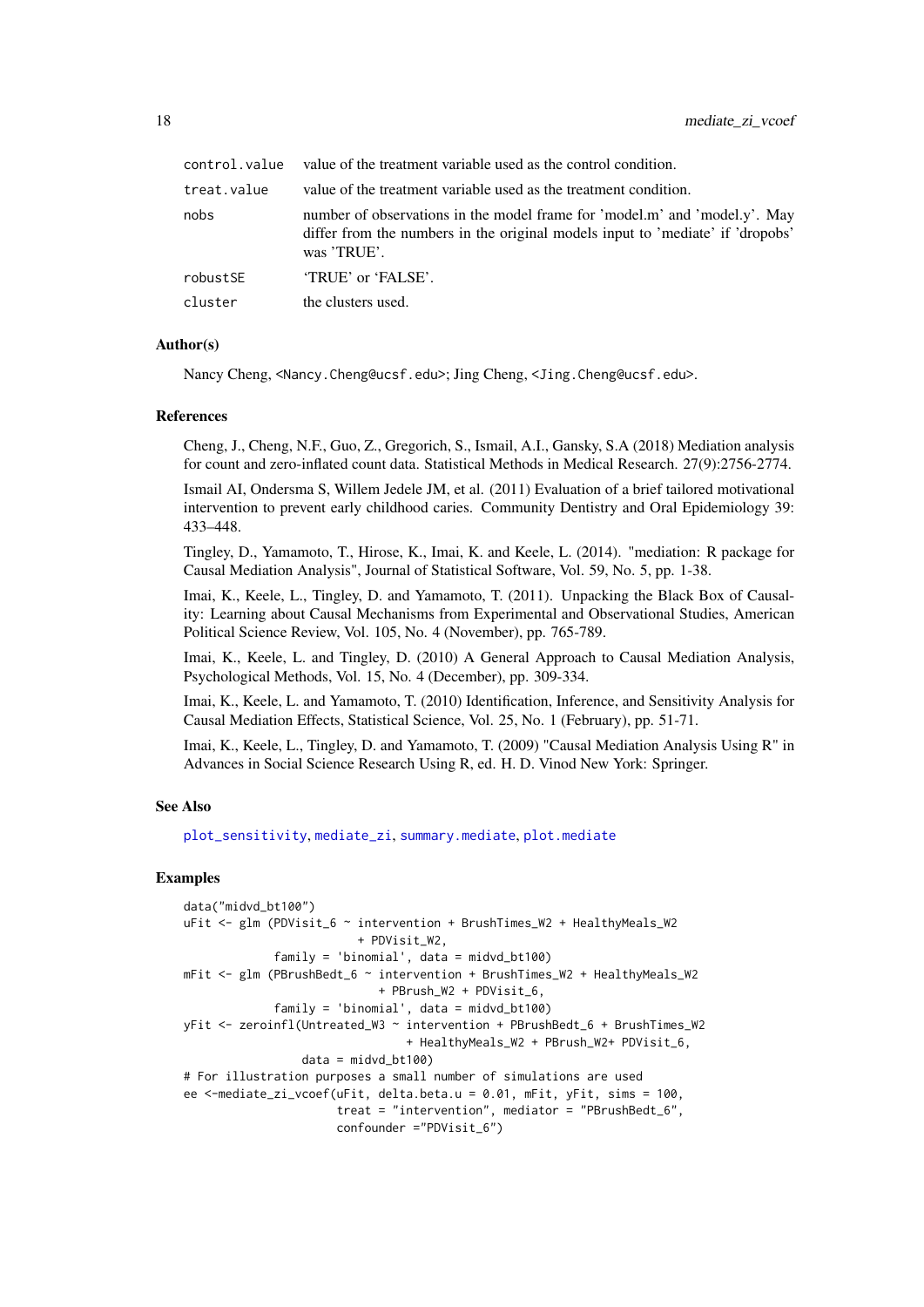<span id="page-17-0"></span>

| control.value | value of the treatment variable used as the control condition.                                                                                                              |
|---------------|-----------------------------------------------------------------------------------------------------------------------------------------------------------------------------|
| treat.value   | value of the treatment variable used as the treatment condition.                                                                                                            |
| nobs          | number of observations in the model frame for 'model.m' and 'model.y'. May<br>differ from the numbers in the original models input to 'mediate' if 'dropobs'<br>was 'TRUE'. |
| robustSE      | 'TRUE' or 'FALSE'.                                                                                                                                                          |
| cluster       | the clusters used.                                                                                                                                                          |

#### Author(s)

Nancy Cheng, <Nancy.Cheng@ucsf.edu>; Jing Cheng, <Jing.Cheng@ucsf.edu>.

#### References

Cheng, J., Cheng, N.F., Guo, Z., Gregorich, S., Ismail, A.I., Gansky, S.A (2018) Mediation analysis for count and zero-inflated count data. Statistical Methods in Medical Research. 27(9):2756-2774.

Ismail AI, Ondersma S, Willem Jedele JM, et al. (2011) Evaluation of a brief tailored motivational intervention to prevent early childhood caries. Community Dentistry and Oral Epidemiology 39: 433–448.

Tingley, D., Yamamoto, T., Hirose, K., Imai, K. and Keele, L. (2014). "mediation: R package for Causal Mediation Analysis", Journal of Statistical Software, Vol. 59, No. 5, pp. 1-38.

Imai, K., Keele, L., Tingley, D. and Yamamoto, T. (2011). Unpacking the Black Box of Causality: Learning about Causal Mechanisms from Experimental and Observational Studies, American Political Science Review, Vol. 105, No. 4 (November), pp. 765-789.

Imai, K., Keele, L. and Tingley, D. (2010) A General Approach to Causal Mediation Analysis, Psychological Methods, Vol. 15, No. 4 (December), pp. 309-334.

Imai, K., Keele, L. and Yamamoto, T. (2010) Identification, Inference, and Sensitivity Analysis for Causal Mediation Effects, Statistical Science, Vol. 25, No. 1 (February), pp. 51-71.

Imai, K., Keele, L., Tingley, D. and Yamamoto, T. (2009) "Causal Mediation Analysis Using R" in Advances in Social Science Research Using R, ed. H. D. Vinod New York: Springer.

# See Also

[plot\\_sensitivity](#page-19-1), [mediate\\_zi](#page-8-1), [summary.mediate](#page-0-0), [plot.mediate](#page-0-0)

#### Examples

```
data("midvd_bt100")
uFit <- glm (PDVisit_6 ~ intervention + BrushTimes_W2 + HealthyMeals_W2
                         + PDVisit_W2,
             family = 'binomial', data = midvd_bt100)
mFit <- glm (PBrushBedt_6 ~ intervention + BrushTimes_W2 + HealthyMeals_W2
                            + PBrush_W2 + PDVisit_6,
             family = 'binomial', data = midvd_bt100)
yFit <- zeroinfl(Untreated_W3 ~ intervention + PBrushBedt_6 + BrushTimes_W2
                                + HealthyMeals_W2 + PBrush_W2+ PDVisit_6,
                 data = midvd_bt100# For illustration purposes a small number of simulations are used
ee <-mediate_zi_vcoef(uFit, delta.beta.u = 0.01, mFit, yFit, sims = 100,
                      treat = "intervention", mediator = "PBrushBedt_6",
                      confounder ="PDVisit_6")
```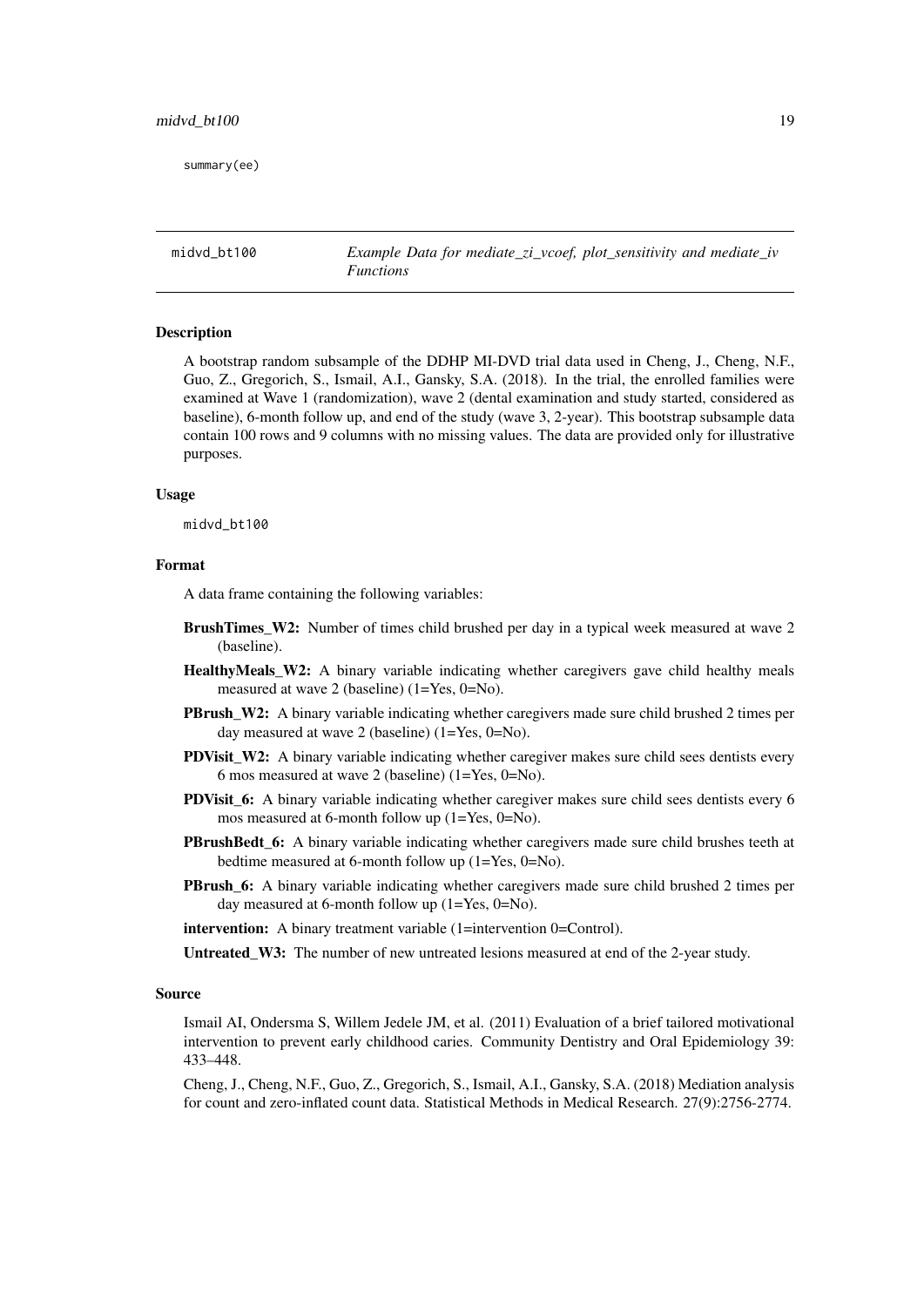<span id="page-18-0"></span>summary(ee)

midvd bt100 *Example Data for mediate\_zi\_vcoef, plot\_sensitivity and mediate\_iv Functions*

# Description

A bootstrap random subsample of the DDHP MI-DVD trial data used in Cheng, J., Cheng, N.F., Guo, Z., Gregorich, S., Ismail, A.I., Gansky, S.A. (2018). In the trial, the enrolled families were examined at Wave 1 (randomization), wave 2 (dental examination and study started, considered as baseline), 6-month follow up, and end of the study (wave 3, 2-year). This bootstrap subsample data contain 100 rows and 9 columns with no missing values. The data are provided only for illustrative purposes.

#### Usage

midvd\_bt100

#### Format

A data frame containing the following variables:

- BrushTimes\_W2: Number of times child brushed per day in a typical week measured at wave 2 (baseline).
- HealthyMeals\_W2: A binary variable indicating whether caregivers gave child healthy meals measured at wave 2 (baseline) (1=Yes, 0=No).
- **PBrush W2:** A binary variable indicating whether caregivers made sure child brushed 2 times per day measured at wave 2 (baseline) (1=Yes, 0=No).
- **PDVisit** W2: A binary variable indicating whether caregiver makes sure child sees dentists every 6 mos measured at wave 2 (baseline) (1=Yes, 0=No).
- **PDVisit 6:** A binary variable indicating whether caregiver makes sure child sees dentists every 6 mos measured at 6-month follow up (1=Yes, 0=No).
- PBrushBedt\_6: A binary variable indicating whether caregivers made sure child brushes teeth at bedtime measured at 6-month follow up (1=Yes, 0=No).
- PBrush\_6: A binary variable indicating whether caregivers made sure child brushed 2 times per day measured at 6-month follow up (1=Yes, 0=No).

intervention: A binary treatment variable (1=intervention 0=Control).

Untreated\_W3: The number of new untreated lesions measured at end of the 2-year study.

#### Source

Ismail AI, Ondersma S, Willem Jedele JM, et al. (2011) Evaluation of a brief tailored motivational intervention to prevent early childhood caries. Community Dentistry and Oral Epidemiology 39: 433–448.

Cheng, J., Cheng, N.F., Guo, Z., Gregorich, S., Ismail, A.I., Gansky, S.A. (2018) Mediation analysis for count and zero-inflated count data. Statistical Methods in Medical Research. 27(9):2756-2774.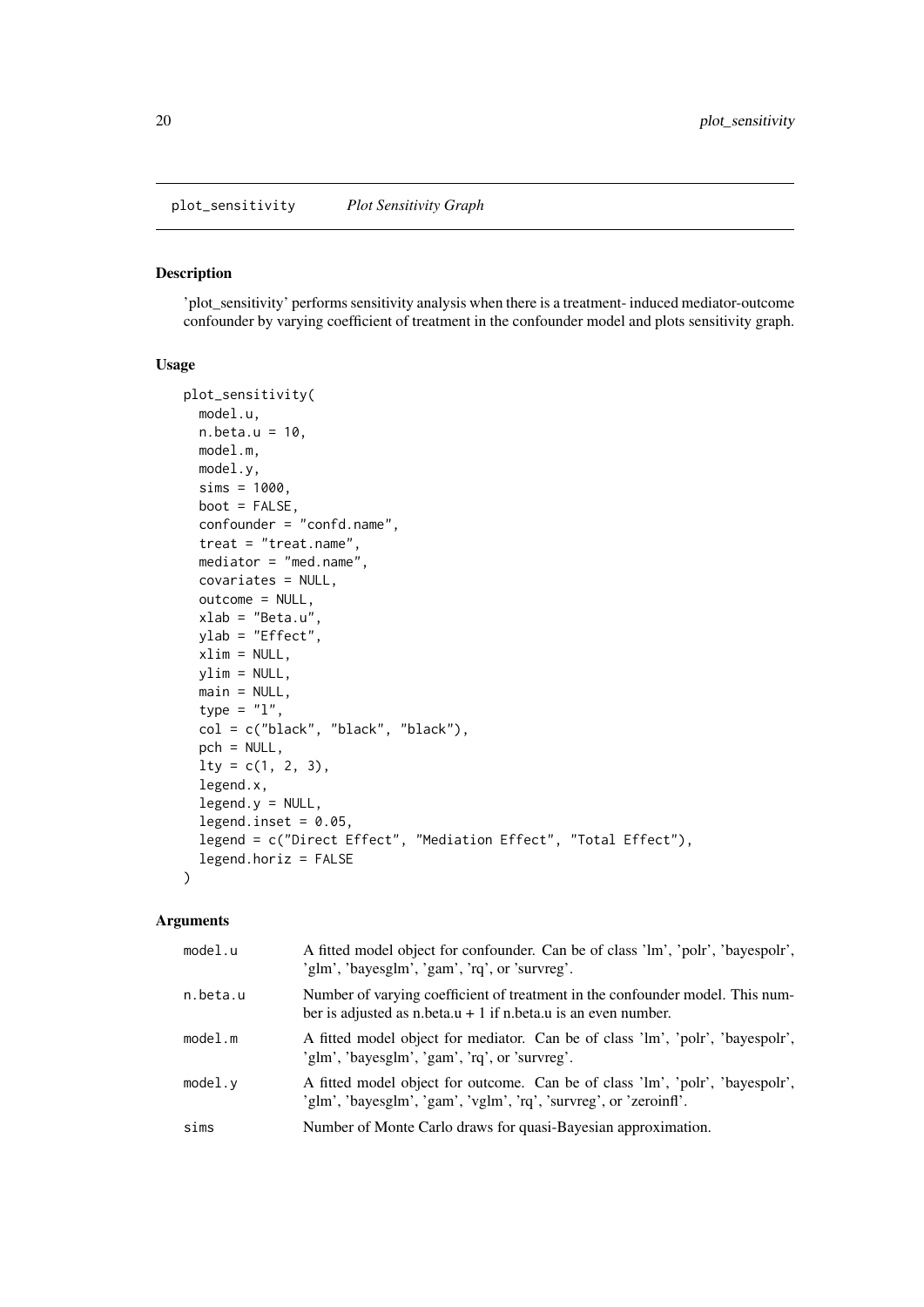<span id="page-19-1"></span><span id="page-19-0"></span>plot\_sensitivity *Plot Sensitivity Graph*

#### Description

'plot\_sensitivity' performs sensitivity analysis when there is a treatment- induced mediator-outcome confounder by varying coefficient of treatment in the confounder model and plots sensitivity graph.

# Usage

```
plot_sensitivity(
  model.u,
  n.beta.u = 10,
  model.m,
  model.y,
  sims = 1000,boot = FALSE,confounder = "confd.name",
  treat = "treat.name",
  mediator = "med.name",
  covariates = NULL,
  outcome = NULL,
  xlab = "Beta.u",
  ylab = "Effect",
  xlim = NULL,ylim = NULL,
  main = NULL,type = "1",
  col = c("black", "black", "black"),
  pch = NULL,
  lty = c(1, 2, 3),legend.x,
  legend.y = NULL,
  legend.inset = 0.05,
  legend = c("Direct Effect", "Mediation Effect", "Total Effect"),
  legend.horiz = FALSE\lambda
```

| model.u  | A fitted model object for confounder. Can be of class 'lm', 'polr', 'bayespolr',<br>'glm', 'bayesglm', 'gam', 'rq', or 'survreg'.                  |
|----------|----------------------------------------------------------------------------------------------------------------------------------------------------|
| n.beta.u | Number of varying coefficient of treatment in the confounder model. This num-<br>ber is adjusted as n.beta.u + 1 if n.beta.u is an even number.    |
| model.m  | A fitted model object for mediator. Can be of class 'lm', 'polr', 'bayespolr',<br>'glm', 'bayesglm', 'gam', 'rq', or 'survreg'.                    |
| model.v  | A fitted model object for outcome. Can be of class 'lm', 'polr', 'bayespolr',<br>'glm', 'bayesglm', 'gam', 'vglm', 'rq', 'survreg', or 'zeroinfl'. |
| sims     | Number of Monte Carlo draws for quasi-Bayesian approximation.                                                                                      |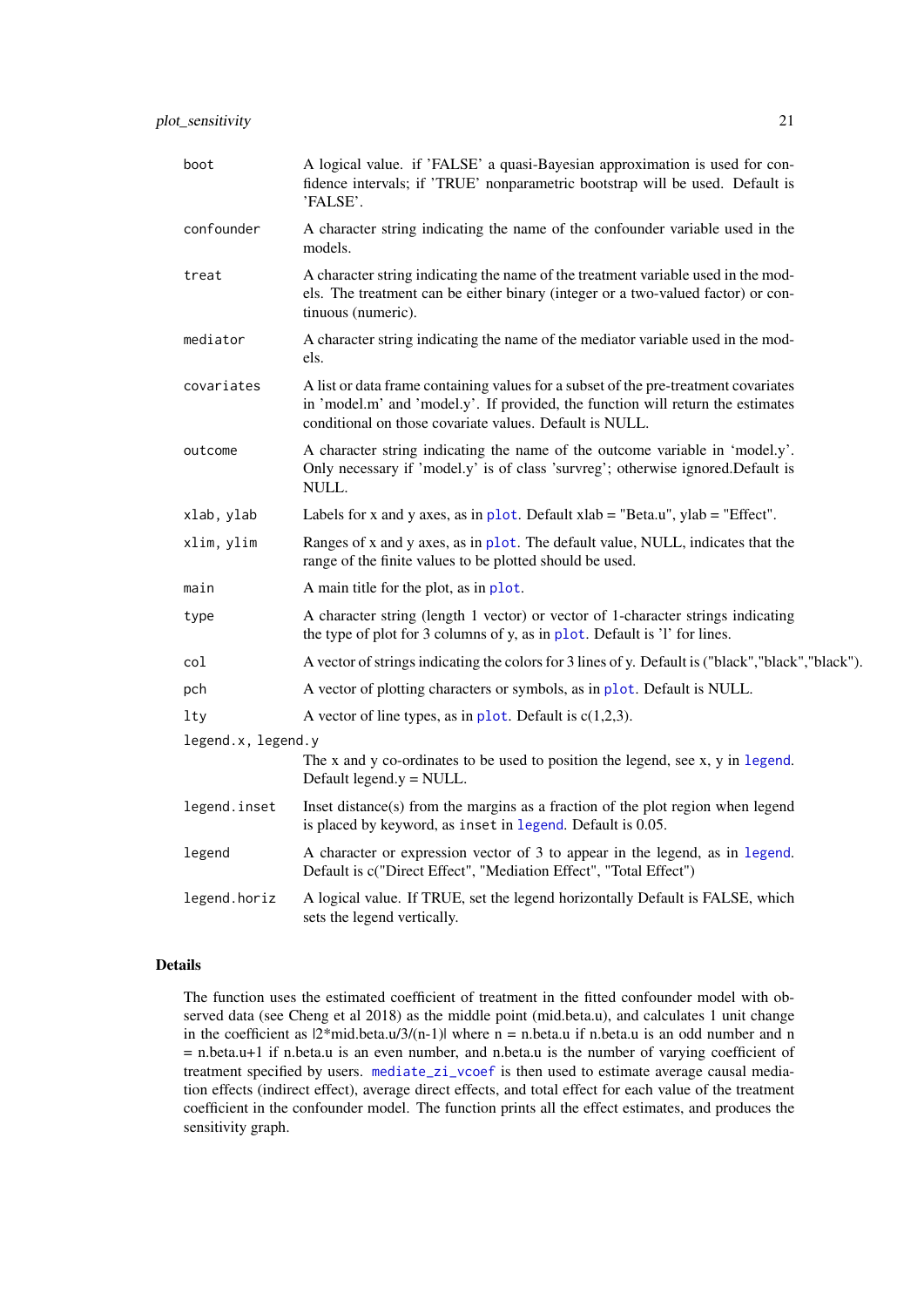<span id="page-20-0"></span>

| boot               | A logical value. if 'FALSE' a quasi-Bayesian approximation is used for con-<br>fidence intervals; if 'TRUE' nonparametric bootstrap will be used. Default is<br>'FALSE'.                                                          |
|--------------------|-----------------------------------------------------------------------------------------------------------------------------------------------------------------------------------------------------------------------------------|
| confounder         | A character string indicating the name of the confounder variable used in the<br>models.                                                                                                                                          |
| treat              | A character string indicating the name of the treatment variable used in the mod-<br>els. The treatment can be either binary (integer or a two-valued factor) or con-<br>tinuous (numeric).                                       |
| mediator           | A character string indicating the name of the mediator variable used in the mod-<br>els.                                                                                                                                          |
| covariates         | A list or data frame containing values for a subset of the pre-treatment covariates<br>in 'model.m' and 'model.y'. If provided, the function will return the estimates<br>conditional on those covariate values. Default is NULL. |
| outcome            | A character string indicating the name of the outcome variable in 'model.y'.<br>Only necessary if 'model.y' is of class 'survreg'; otherwise ignored.Default is<br>NULL.                                                          |
| xlab, ylab         | Labels for x and y axes, as in plot. Default $x$ lab = "Beta.u", $y$ lab = "Effect".                                                                                                                                              |
| xlim, ylim         | Ranges of x and y axes, as in plot. The default value, NULL, indicates that the<br>range of the finite values to be plotted should be used.                                                                                       |
| main               | A main title for the plot, as in plot.                                                                                                                                                                                            |
| type               | A character string (length 1 vector) or vector of 1-character strings indicating<br>the type of plot for 3 columns of y, as in plot. Default is 'l' for lines.                                                                    |
| col                | A vector of strings indicating the colors for 3 lines of y. Default is ("black", "black", "black").                                                                                                                               |
| pch                | A vector of plotting characters or symbols, as in plot. Default is NULL.                                                                                                                                                          |
| lty                | A vector of line types, as in plot. Default is $c(1,2,3)$ .                                                                                                                                                                       |
| legend.x, legend.y |                                                                                                                                                                                                                                   |
|                    | The x and y co-ordinates to be used to position the legend, see x, y in legend.<br>Default legend. $y = NULL$ .                                                                                                                   |
| legend.inset       | Inset distance(s) from the margins as a fraction of the plot region when legend<br>is placed by keyword, as inset in legend. Default is 0.05.                                                                                     |
| legend             | A character or expression vector of 3 to appear in the legend, as in legend.<br>Default is c("Direct Effect", "Mediation Effect", "Total Effect")                                                                                 |
| legend.horiz       | A logical value. If TRUE, set the legend horizontally Default is FALSE, which<br>sets the legend vertically.                                                                                                                      |

# Details

The function uses the estimated coefficient of treatment in the fitted confounder model with observed data (see Cheng et al 2018) as the middle point (mid.beta.u), and calculates 1 unit change in the coefficient as  $|2 \times m$ id.beta.u/3/(n-1)| where n = n.beta.u if n.beta.u is an odd number and n  $=$  n.beta.u+1 if n.beta.u is an even number, and n.beta.u is the number of varying coefficient of treatment specified by users. [mediate\\_zi\\_vcoef](#page-14-1) is then used to estimate average causal mediation effects (indirect effect), average direct effects, and total effect for each value of the treatment coefficient in the confounder model. The function prints all the effect estimates, and produces the sensitivity graph.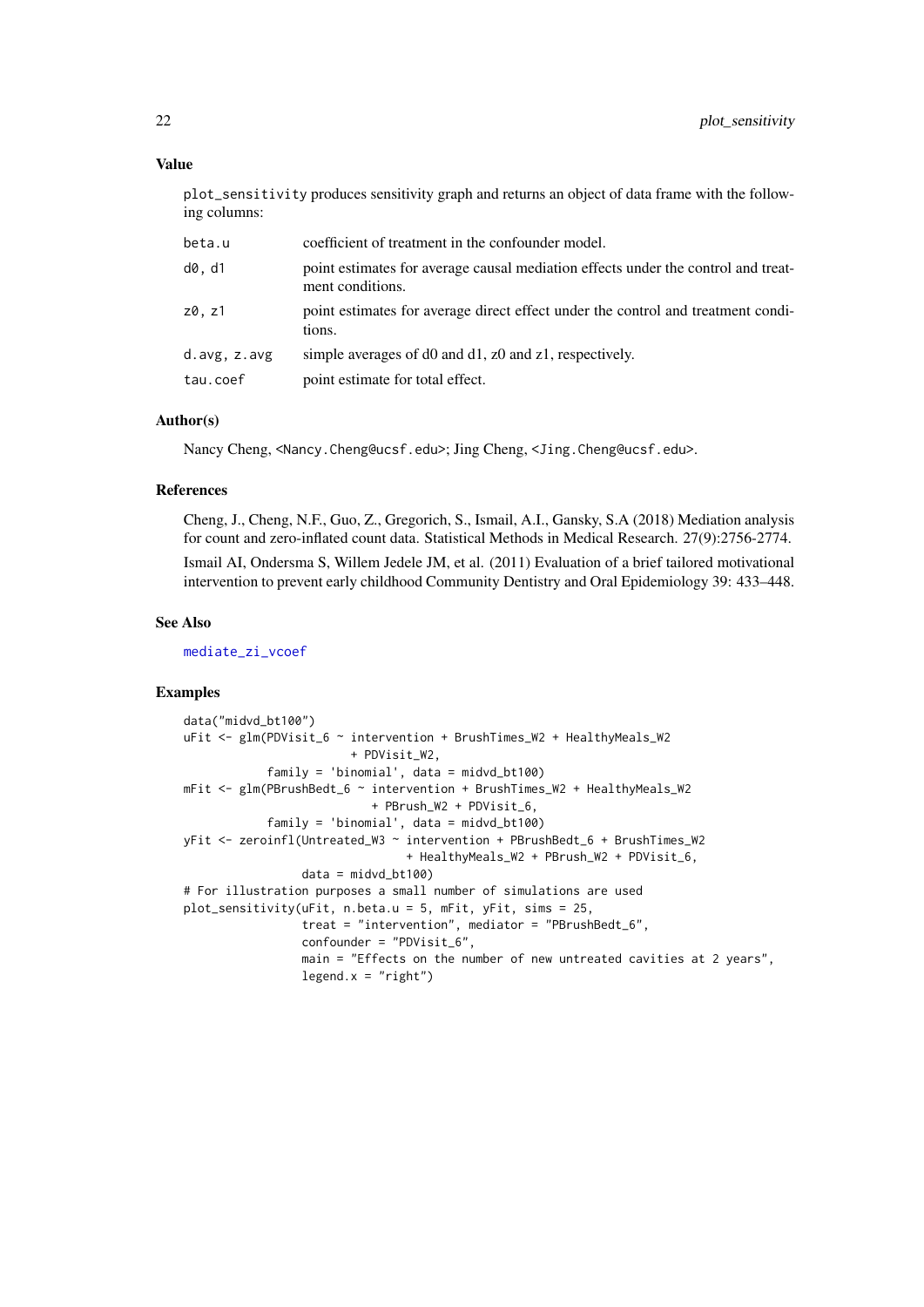#### Value

plot\_sensitivity produces sensitivity graph and returns an object of data frame with the following columns:

| beta.u       | coefficient of treatment in the confounder model.                                                     |
|--------------|-------------------------------------------------------------------------------------------------------|
| d0. d1       | point estimates for average causal mediation effects under the control and treat-<br>ment conditions. |
| z0, z1       | point estimates for average direct effect under the control and treatment condi-<br>tions.            |
| d.avg, z.avg | simple averages of d0 and d1, z0 and z1, respectively.                                                |
| tau.coef     | point estimate for total effect.                                                                      |

#### Author(s)

Nancy Cheng, <Nancy.Cheng@ucsf.edu>; Jing Cheng, <Jing.Cheng@ucsf.edu>.

#### References

Cheng, J., Cheng, N.F., Guo, Z., Gregorich, S., Ismail, A.I., Gansky, S.A (2018) Mediation analysis for count and zero-inflated count data. Statistical Methods in Medical Research. 27(9):2756-2774.

Ismail AI, Ondersma S, Willem Jedele JM, et al. (2011) Evaluation of a brief tailored motivational intervention to prevent early childhood Community Dentistry and Oral Epidemiology 39: 433–448.

#### See Also

[mediate\\_zi\\_vcoef](#page-14-1)

# Examples

```
data("midvd_bt100")
uFit <- glm(PDVisit_6 ~ intervention + BrushTimes_W2 + HealthyMeals_W2
                        + PDVisit_W2,
            family = 'binomial', data = midvd_bt100)
mFit <- glm(PBrushBedt_6 ~ intervention + BrushTimes_W2 + HealthyMeals_W2
                           + PBrush_W2 + PDVisit_6,
            family = 'binomial', data = midvd_bt100)
yFit <- zeroinfl(Untreated_W3 ~ intervention + PBrushBedt_6 + BrushTimes_W2
                               + HealthyMeals_W2 + PBrush_W2 + PDVisit_6,
                 data = midvd_btl00)# For illustration purposes a small number of simulations are used
plot_sensitivity(uFit, n.beta.u = 5, mFit, yFit, sims = 25,
                 treat = "intervention", mediator = "PBrushBedt_6",
                 confounder = "PDVisit_6",
                 main = "Effects on the number of new untreated cavities at 2 years",
                 legent.x = "right")
```
<span id="page-21-0"></span>